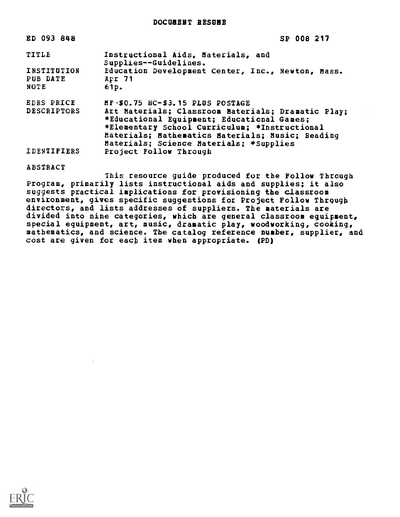| ED 093 848         | SP 008 217                                                                                                                                                                                                                                       |
|--------------------|--------------------------------------------------------------------------------------------------------------------------------------------------------------------------------------------------------------------------------------------------|
| <b>TITLE</b>       | Instructional Aids, Materials, and<br>Supplies--Guidelines.                                                                                                                                                                                      |
| INSTITUTION        | Education Development Center, Inc., Newton, Mass.                                                                                                                                                                                                |
| <b>PUB DATE</b>    | Apr 71                                                                                                                                                                                                                                           |
| NOTE               | 61p.                                                                                                                                                                                                                                             |
| EDRS PRICE         | $MF \cdot $0.75$ $HC - $3.15$ PLUS POSTAGE                                                                                                                                                                                                       |
| <b>DESCRIPTORS</b> | Art Materials; Classroom Materials; Dramatic Play;<br>*Educational Equipment; Educational Games;<br>*Elementary School Curriculum; *Instructional<br>Materials; Mathematics Materials; Music; Reading<br>Materials; Science Materials; *Supplies |
| IDENTIFIERS        | Project Follow Through                                                                                                                                                                                                                           |

ABSTRACT

This resource guide produced for the Follow Through Program, primarily lists instructional aids and supplies; it also suggests practical implications for provisioning the classroom environment, gives specific suggestions for Project Follow Through directors, and lists addresses of suppliers. The materials are divided into nine categories, which are general classroom equipment, special equipment, art, music, dramatic play, woodworking, cooking, mathematics, and science. The catalog reference number, supplier, and cost are given for each item when appropriate. (PD)

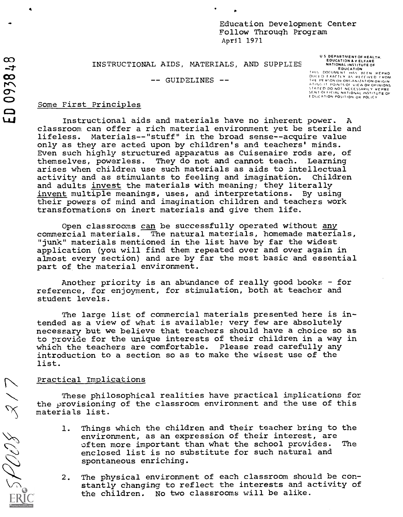Education Development Center Follow Through Program April 1971

#### INSTRUCTIONAL AIDS, MATERIALS, AND SUPPLIES

-- GUIDELINES --<br>-- GUIDELINES --<br>-- GUIDELINES --<br>SULLE DE DE SACTIVES SULLE DE DE SACTIVES DE DE SACTIVES PROMINENTION OF DE DE SACTIVES DE DE DE SACTIVES DE DE DE DE SACTIVES DE DE DE SACTIVES DE DE DE SACTIVES DE DE DE

#### Some First Principles

Instructional aids and materials have no inherent power. A classroom can offer a rich material environment yet be sterile and lifeless. Materials--"stuff" in the broad sense--acquire value only as they are acted upon by children's and teachers' minds. Even such highly structured apparatus as Cuisenaire rods are, of themselves, powerless. They do not and cannot teach. Learning arises when children use such materials as aids to intellectual activity and as stimulants to feeling and imagination. and adults invest the materials with meaning; they literally invent multiple meanings, uses, and interpretations. By using their powers of mind and imagination children and teachers work transformations on inert materials and give them life.

Open classrooms can be successfully operated without any commercial materials. The natural materials, homemade materials, "junk" materials mentioned in the list have by far the widest application (you will find them repeated over and over again in almost every section) and are by far the most basic and essential part of the material environment.

Another priority is an abundance of really good books - for reference, for enjoyment, for stimulation, both at teacher and student levels.

The large list of commercial materials presented here is intended as a view of what is available; very few are absolutely necessary but we believe that teachers should have a choice so as to provide for the unique interests of their children in a way in which the teachers are comfortable. Please read carefully any introduction to a section so as to make the wisest use of the list.

#### Practical Implications

These philosophical realities have practical implications for the provisioning of the classroom environment and the use of this materials list.

- 1. Things which the children and their teacher bring to the environment, as an expression of their interest, are often more important than what the school provides. The enclosed list is no substitute for such natural and spontaneous enriching.
- 2. The physical environment of each classroom should be constantly changing to reflect the interests and activity of the children. No two classrooms will be alike.

 $\sim$   $\sim$   $\sim$  $\sim$  $\bigvee$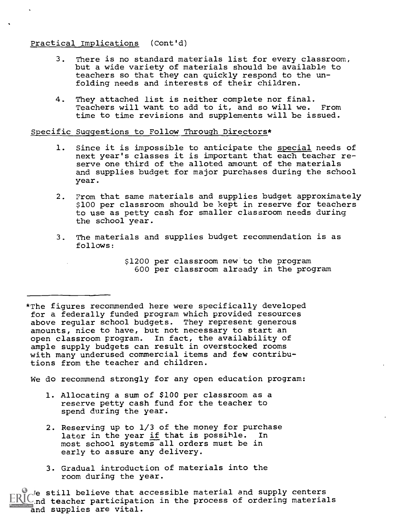#### Practical Implications (Cont'd)

- 3. There is no standard materials list for every classroom, but a wide variety of materials should be available to teachers so that they can quickly respond to the unfolding needs and interests of their children.
- 4. They attached list is neither complete nor final.<br>Teachers will want to add to it, and so will we. From Teachers will want to add to it, and so will we. time to time revisions and supplements will be issued.

Specific Suggestions to Follow Through Directors\*

- 1. Since it is impossible to anticipate the special needs of next year's classes it is important that each teacher reserve one third of the alloted amount of the materials and supplies budget for major purchases during the school year.
- 2. From that same materials and supplies budget approximately \$100 per classroom should be kept in reserve for teachers to use as petty cash for smaller classroom needs during the school year.
- 3. The materials and supplies budget recommendation is as follows:

\$1200 per classroom new to the program 600 per classroom already in the program

\*The figures recommended here were specifically developed for a federally funded program which provided resources above regular school budgets. They represent generous amounts, nice to have, but not necessary to start an open classroom program. In fact, the availability of ample supply budgets can result in overstocked rooms with many underused commercial items and few contributions from the teacher and children.

We do recommend strongly for any open education program:

- 1. Allocating a sum of \$100 per classroom as a reserve petty cash fund for the teacher to spend during the year.
- 2. Reserving up to 1/3 of the money for purchase later in the year if that is possihle. In most school systems all orders must be in early to assure any delivery.
- 3. Gradual introduction of materials into the room during the year.

 $\sim$  still believe that accessible material and supply centers  $ERIC$  nd teacher participation in the process of ordering materials and supplies are vital.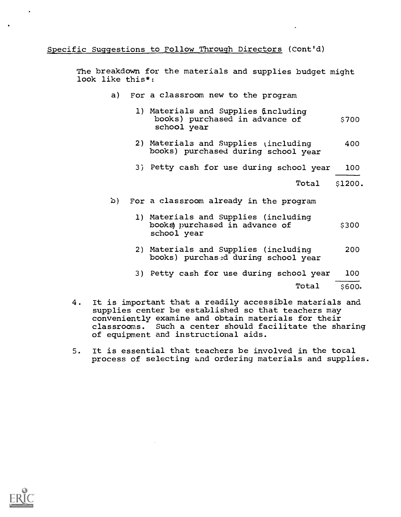Specific Suggestions to Follow Through Directors (Cont'd)

The breakdown for the materials and supplies budget might look like this\*:

- a) For a classroom new to the program
	- 1) Materials and Supplies fincluding books) purchased in advance of school year \$700
	- 2) Materials and Supplies (including 400 books) purchased during school year
	- 3) Petty cash for use during school year 100

Total \$1200.

- b) For a classroom already in the program
	- 1) Materials and Supplies (including<br>books purchased in advance of  $$300$ books) purchased in advance of school year
	- 2) Materials and Supplies (including 200 books) purchased during school year
	- 3) Petty cash for use during school year 100

Total \$600.

- 4. It is important that a readily accessible materials and supplies center be established so that teachers may conveniently examine and obtain materials for their classrooms. Such a center should facilitate the sharing of equipment and instructional aids.
- 5. It is essential that teachers be involved in the tocal process of selecting and ordering materials and supplies.

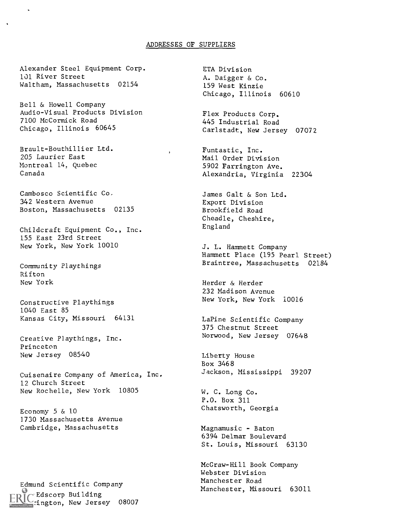#### ADDRESSES OF SUPPLIERS

Alexander Steel Equipment Corp. 101 River Street Waltham, Massachusetts 02154

Bell & Howell Company Audio-Visual Products Division 7100 McCormick Road Chicago, Illinois 60645

Brault-Bouthillier Ltd. 205 Laurier East Montreal 14, Quebec Canada

Cambosco Scientific Co, 342 Western Avenue Boston, Massachusetts 02135

Childcraft Equipment Co., Inc. 155 East 23rd Street New York, New York 10010

Community Playthings Rif ton New York

Constructive Playthings 1040 East 85 Kansas City, Missouri 64131

Creative Playthings, Inc. Princeton New Jersey 08540

Cuisenaire Company of America, Inc. 12 Church Street New Rochelle, New York 10805

Economy  $5 \& 10$ 1730 Massachusetts Avenue Cambridge, Massachusetts

Edmund Scientific Company -Edscorp Building Ington, New Jersey 08007 ETA Division A. Daigger & Co. 159 West Kinzie Chicago, Illinois 60610

Flex Products Corp. 445 Industrial Road Carlstadt, New Jersey 07072

Funtastic, Inc. Mail Order Division 5902 Farrington Ave. Alexandria, Virginia 22304

James Galt & Son Ltd. Export Division Brookfield Road Cheadle, Cheshire, England

J. L. Hammett Company Hammett Place (195 Pearl Street) Braintree, Massachusetts 02184

Herder & Herder 232 Madison Avenue New York, New York 10016

LaPine Scientific Company 375 Chestnut Street Norwood, New Jersey 07648

Liberty House Box 3468 Jackson, Mississippi 39207

W. C. Long Co. P.O. Box 311 Chatsworth, Georgia

Magnamusic - Baton 6394 Delmar Boulevard St. Louis, Missouri 63130

McGraw-Hill Book Company Webster Division Manchester Road Manchester, Missouri 63011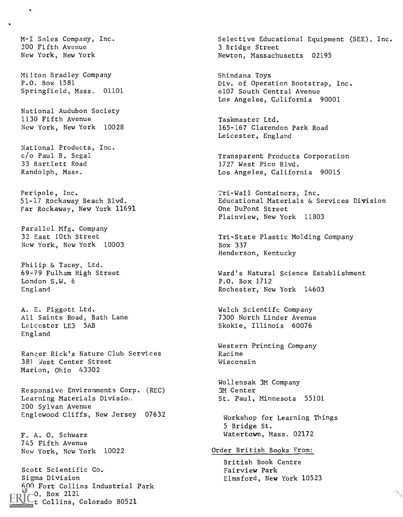M-I Sales Company, Inc. 200 Fifth Avenue New York, New York

 $\bullet$ 

Milton Bradley Company P.O. Box 1581 Springfield, Mass. 01101

National Audubon Society 1130 Fifth Avenue New York, New York 10028

National Products, Inc. c/o Paul B. Segal 33 Bartlett Road Randolph, Mass.

Peripole, Inc. 51-17 Rockaway Beach Blvd. Far Rockaway, New York 11691

Parallel Mfg. Company 32 East 10th Street New York, New York 10003

Philip & Tacey, Ltd. 69-79 Fulham High Street London S.W. 6 England

A. E. Piggott Ltd. All Saints Road, Bath Lane Leicester LE3 5AB England

Ranger Rick's Nature Club Services 38/ west Center Street Marion, Ohio 43302

Responsive Environments Corp. (REC) Learning Materials Divisio, 200 Sylvan Avenue Englewood Cliffs, New Jersey 07632

F. A. O. Schwarz 745 Fifth Avenue New York, New York 10022

Scott Scientific Co. Sigma Division 600 Fort Collins Industrial Park  $\sim$  O. Box 2121  $U$ t Collins, Colorado 80521 Selective Educational Equipment (SEE), Inc. 3 Bridge Street Newton, Massachusetts 02195

Shindana Toys Div. of Operation Bootstrap, Inc. 6107 South Central Avenue Los Angeles, California 90001

Taskmaster Ltd. 165-167 Clarendon Park Road Leicester, England

Transparent Products Corporation 1727 West Pico Blvd. Los Angeles, California 90015

72ri-Wall Containers, Inc. Educational Materials & Services Division One DuPont Street Plainview, New York 11803

Tri-State Plastic Molding Company Box 337 Henderson, Kentucky

Ward's Natural Science Establishment P.O. Box 1712 Rochester, New York 14603

Welch Scientifc Company 7300 North Linder Avenue Skokie, Illinois 60076

Western Printing Company Racine Wisconsin

Wollensak 3M Company 3M Center St. Paul, Minnesota 55101

Workshop for Learning Things 5 Bridge St. Watertown, Mass. 02172

Order British Books From:

British Book Centre Fairview Park Elmsford, New York 10523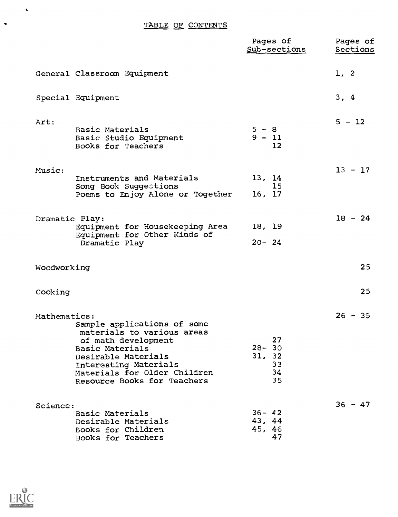|                |                                                                                                                                                                                                                    | Pages of<br>Sub-sections                    | Pages of<br>Sections |
|----------------|--------------------------------------------------------------------------------------------------------------------------------------------------------------------------------------------------------------------|---------------------------------------------|----------------------|
|                | General Classroom Equipment                                                                                                                                                                                        |                                             | 1, 2                 |
|                | Special Equipment                                                                                                                                                                                                  |                                             | 3, 4                 |
| Art:           | <b>Basic Materials</b><br>Basic Studio Equipment<br>Books for Teachers                                                                                                                                             | $5 - 8$<br>9 - 11<br>12                     | $5 - 12$             |
| Music:         | Instruments and Materials<br>Song Book Suggestions<br>Poems to Enjoy Alone or Together                                                                                                                             | 13, 14<br>15<br>16, 17                      | $13 - 17$            |
| Dramatic Play: | Equipment for Housekeeping Area<br>Equipment for Other Kinds of<br>Dramatic Play                                                                                                                                   | 18, 19<br>$20 - 24$                         | $18 - 24$            |
| Woodworking    |                                                                                                                                                                                                                    |                                             | 25                   |
| Cooking        |                                                                                                                                                                                                                    |                                             | 25                   |
| Mathematics:   | Sample applications of some<br>materials to various areas<br>of math development<br>Basic Materials<br>Desirable Materials<br>Interesting Materials<br>Materials for Older Children<br>Resource Books for Teachers | 27<br>$28 - 30$<br>31, 32<br>33<br>34<br>35 | $26 - 35$            |
| Science:       | Basic Materials<br>Desirable Materials<br>Books for Children<br>Books for Teachers                                                                                                                                 | $36 - 42$<br>43, 44<br>45, 46<br>47         | $36 - 47$            |



 $\hat{\textbf{v}}$ 

 $\bullet$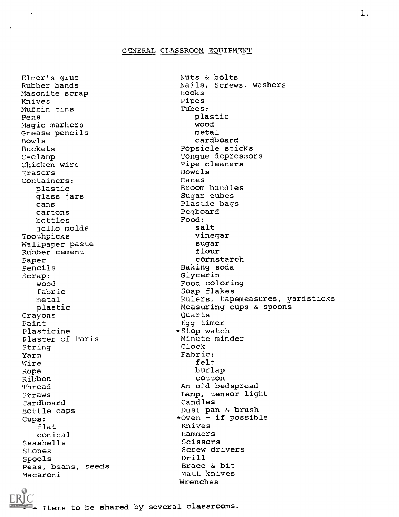#### GENERAL CLASSROOM EQUIPMENT

Elmer's glue Nuts & bolts Masonite scrap Hooks Knives Pipes Muffin tins Tubes: Pens plastic markers examples by plastic markers and plastic markers and plastic model. Magic markers wood<br>Grease pencils wood metal Grease pencils Bowls cardboard<br>Buckets cardboard<br>Popsicle sti Buckets **Buckets** Popsicle sticks<br>C-clamp **Popsicle Sticks** Erasers Dowel<br>
Containers: Canes Containers:<br>plastic glass jars cans Plastic bags cartons Pegboard bottles Food: jello molds salt Toothpicks vineg<br>Wallpaper paste van de sugar Wallpaper paste sugar sugar<br>Rubber cement substitutions of the sugar Rubber cement Paper cornstarch<br>Pencils entrance behavior and the Baking soda Scrap: Glycerin wood example a series of the Food coloring fabric Soap flakes Crayons<br>Paint Paint  $\begin{array}{ccc}\n\text{Pas} & \text{Pas} \\
\text{Pas} & \text{Pas} \\
\text{Pas} & \text{Pas} \\
\text{Pas} & \text{Pas} \\
\text{Pas} & \text{Pas} \\
\text{Pas} & \text{Pas} \\
\text{Pas} & \text{Pas} \\
\text{Pas} & \text{Pas} \\
\text{Pas} & \text{Pas} \\
\text{Pas} & \text{Pas} \\
\text{Pas} & \text{Pas} \\
\text{Pas} & \text{Pas} \\
\text{Pas} & \text{Pas} \\
\text{Pas} & \text{Pas} \\
\text{Pas} & \text{P$ Plaster of Paris Minute Minute Minute minute materials of the Minute materials of the Minute materials of the<br>Clock String Clock Yarn Fabric:<br>Wire felt Wire felt Ribbon cotton. Thread **An old bedspread** Cardboard Bottle caps **Dust pan & brush** conical Hammers Seashells Stones Screw drivers<br>Spools Spools spools Drill Drill Drill Peas, beans, seeds Brace & bit Macaroni Matt knives

Rubber bands (Nails, Screws. washers)<br>
Masonite scrap (National Hooks) C-clamp<br>
Chicken wire Chicken and Chicken wire Pipe cleaners<br>Dowels Broom handles<br>Sugar cubes Baking soda metal metal Rulers, tapemeasures, yardsticks<br>plastic measuring cups & spoons Measuring cups & spoons<br>Quarts \*Stop watch<br>Minute minder Rope burlap Straws Lamp, tensor light<br>Cardboard Candles Cups:  $*0ven - if possible$ <br>flat Knives flat Knives Wrenches



 $=$  Items to be shared by several classrooms.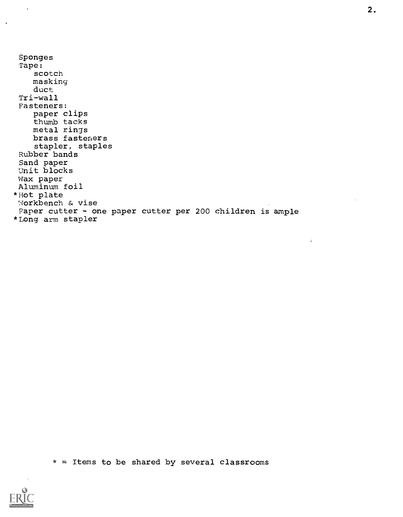Sponges Tape: scotch masking duct Tri-wall Fasteners: paper clips thumb tacks metal rings brass fasteners stapler, staples Rubber bands Sand paper Unit blocks Wax paper Aluminum foil \*Hot plate Workbench & vise Paper cutter - one paper cutter per 200 children is ample \*Long arm stapler

 $*$  = Items to be shared by several classrooms



 $\ddot{\phantom{0}}$ 

 $\vec{r}$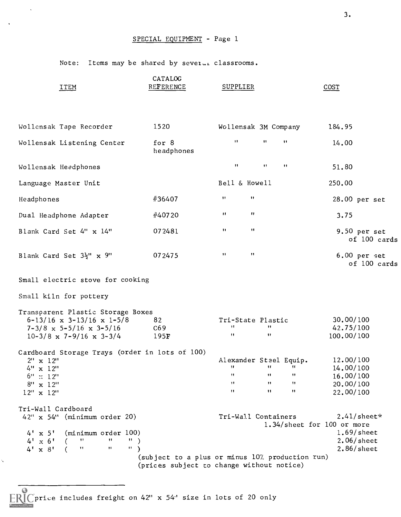Note: Items may be shared by sever... classrooms.

 $\ddot{\phantom{1}}$ 

 $\ddot{\phantom{a}}$ 

 $\mathbf{v}_k$ 

| <b>ITEM</b>                                                           | CATALOG<br>REFERENCE                            | SUPPLIER                           |              |              | COST                           |
|-----------------------------------------------------------------------|-------------------------------------------------|------------------------------------|--------------|--------------|--------------------------------|
|                                                                       |                                                 |                                    |              |              |                                |
| Wollensak Tape Recorder                                               | 1520                                            | Wollensak 3M Company               |              |              | 184.95                         |
| Wollensak Listening Center                                            | for 8<br>headphones                             | $\mathbf{H}$                       | $\mathbf{H}$ | $\mathbf{H}$ | 14.00                          |
| Wollensak Headphones                                                  |                                                 | $\mathbf{H}$                       | $\mathbf{H}$ | 11           | 51.80                          |
| Language Master Unit                                                  |                                                 | Bell & Howell                      |              |              | 250.00                         |
| Headphones                                                            | #36407                                          | $\mathbf{H}$<br>$\mathbf{H}$       |              |              | $28.00$ per set                |
| Dual Headphone Adapter                                                | #40720                                          | Ħ                                  | $\mathbf{H}$ |              | 3.75                           |
| Blank Card Set 4" x 14"                                               | 072481                                          | $\blacksquare$                     | $\mathbf{H}$ |              | $9.50$ per set<br>of 100 cards |
| Blank Card Set 3}" x 9"                                               | 072475                                          | $\mathbf{H}$<br>$\pmb{\mathsf{H}}$ |              |              | $6.00$ per set<br>of 100 cards |
| Small electric stove for cooking                                      |                                                 |                                    |              |              |                                |
| Small kiln for pottery                                                |                                                 |                                    |              |              |                                |
| Transparent Plastic Storage Boxes                                     |                                                 |                                    |              |              |                                |
| $6-13/16$ x 3-13/16 x 1-5/8                                           | 82                                              | Tri-State Plastic                  |              |              | 30,00/100                      |
| $7-3/8$ x 5-5/16 x 3-5/16                                             | C69                                             | $\mathbf{H}$                       | 11           |              | 42.75/100                      |
| $10-3/8$ x 7-9/16 x 3-3/4                                             | 195F                                            | 11                                 | $\mathbf{H}$ |              | 100.00/100                     |
| Cardboard Storage Trays (order in lots of 100)                        |                                                 |                                    |              |              |                                |
| $2'' \times 12''$                                                     |                                                 | Alexander Steel Equip.             |              |              | 12.00/100                      |
| $4'' \times 12''$                                                     |                                                 | Ħ                                  | Ħ            | Ħ            | 14.00/100                      |
| 6" x 12"                                                              |                                                 | 11                                 | 11           | $\mathbf{H}$ | 16.00/100                      |
| $8'' \times 12''$                                                     |                                                 | ,,                                 | "            | n            | 20,00/100                      |
| $12" \times 12"$                                                      |                                                 | 11                                 | 11           | 11           | 22.00/100                      |
| Tri-Wall Cardboard                                                    |                                                 |                                    |              |              |                                |
| $42" \times 54"$ (minimum order 20)                                   |                                                 | Tri-Wall Containers                |              |              | $2.41$ /sheet*                 |
|                                                                       |                                                 |                                    |              |              | 1.34/sheet for 100 or more     |
| $4' \times 5'$<br>(minimum order 100)                                 |                                                 |                                    |              |              | $1.69$ /sheet                  |
| $\mathbf{H}$<br>$\pmb{\mathsf{1}}$<br>x 6'<br>$\mathbf{H}$ )<br>$4^1$ |                                                 |                                    |              |              | $2.06$ /sheet                  |
| $\mathbf{H}$<br>x 8'<br>$\mathbf{H}$<br>$^{\bullet}$<br>4'<br>◝       |                                                 |                                    |              |              | $2.86$ /sheet                  |
|                                                                       | (subject to a plus or minus 10% production run) |                                    |              |              |                                |
|                                                                       | (prices subject to change without notice)       |                                    |              |              |                                |

 $ERIC$  price includes freight on 42" x 54" size in lots of 20 only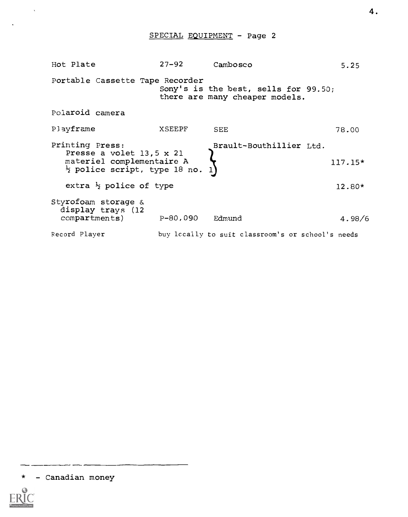SPECIAL EQUIPMENT - Page 2

Hot Plate 27-92 Cambosco 5.25 Portable Cassette Tape Recorder Sony's is the best, sells for 99.50; there are many cheaper models. Polaroid camera PJayframe XSEEPF SEE 78.00 Printing Press: Brault-Bouthillier Ltd. Presse a volet 13,5 x 21 materiel complementaire A  $117.15*$  $\frac{1}{2}$  police script, type 18 no. 1 extra  $\frac{1}{2}$  police of type 12.80\* Styrofoam storage & display trays (12<br>compartments) P-80,090 compartments) P-80,090 Edmund 4.98/6 Record Player buy locally to suit classroom's or school's needs

<sup>-</sup> Canadian money



4.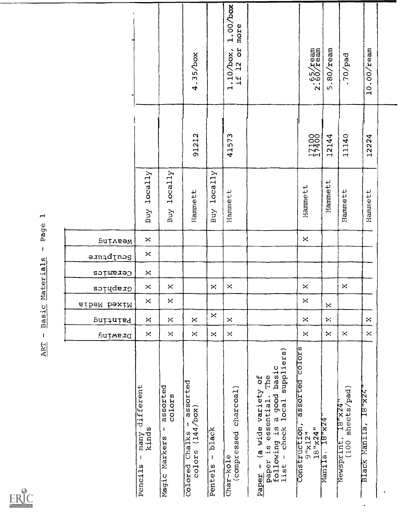

|                                                                                                                                                            | ART - Basic    |                     |             | Materials      |          | $\mathbf I$ | Page    | Ħ                    |       |                                                  |
|------------------------------------------------------------------------------------------------------------------------------------------------------------|----------------|---------------------|-------------|----------------|----------|-------------|---------|----------------------|-------|--------------------------------------------------|
|                                                                                                                                                            | butmerg        | buttud              | RibeM bexiM | sorydero       | Ceramics | aniques     | pnivesW |                      |       |                                                  |
| different<br>kinds<br>many<br>Pencils                                                                                                                      | $\Join$        | ×                   | ×           | ×              | ×        | ×           | $\Join$ | $1$ oca $11y$<br>Buy |       |                                                  |
| assorted<br>colors<br>$\mathbf t$<br>Magic Markers                                                                                                         | $\Join$        | $\bowtie$           | ×           | ×              |          |             |         | $1$ oca $11y$<br>Buy |       |                                                  |
| alks - assorted<br>(144/box)<br>Colored Chalks<br>colors                                                                                                   | ×              | $\mathsf{x}$        |             |                |          |             |         | Hammett              | 91212 | 4.35/box                                         |
| black<br>$\mathbf{I}$<br>Pentels                                                                                                                           | $\Join$        | $\mathsf{x}$        |             | ×              |          |             |         | $1$ oca $11y$<br>Buy |       |                                                  |
| charcoal)<br>(compressed<br>Char-kole                                                                                                                      | $\asymp$       | $\times$            |             | $\pmb{\times}$ |          |             |         | Hammett              | 41573 | 1.00/box<br>more<br>ð<br>$1.10/box,$<br>if 12 or |
| suppliers)<br>wing is a good basic<br>- check local suppli-<br>The<br>- (a wide variety of<br>paper is essential.<br>following is<br>list - check<br>Paper |                |                     |             |                |          |             |         |                      |       |                                                  |
| assorted colors<br>Construction,<br>18"x24"<br>9"x12"                                                                                                      | ×              | ×                   | $\times$    | ×              |          |             | ×       | Hammett              | 17400 | $2.65/\text{mean}$<br>2.60/ream                  |
| Manila. 18"x24                                                                                                                                             | $\pmb{\times}$ | $\mathord{\bowtie}$ | $\Join$     |                |          |             |         | Hammett              | 12144 | 5.80/ream                                        |
| sheets/pad)<br>Newsprint, 18"x24"<br>(100)                                                                                                                 | $\times$       |                     |             | ×              |          |             |         | Hammett              | 11140 | .70/pad                                          |
| Black Manila, 18"x24"                                                                                                                                      | $\Join$        | ×                   |             |                |          |             |         | Hammett              | 12224 | $10.00/\text{mean}$                              |
|                                                                                                                                                            |                |                     |             |                |          |             |         |                      |       |                                                  |
|                                                                                                                                                            |                |                     |             |                |          |             |         |                      |       |                                                  |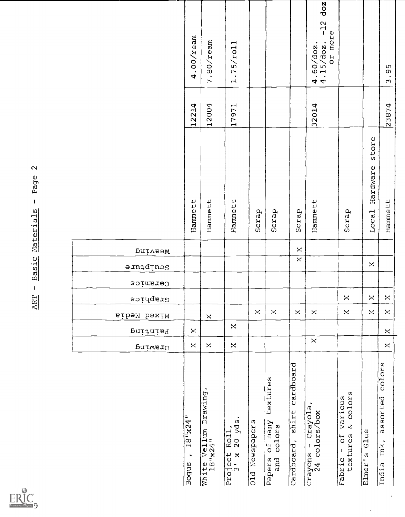|                                                                       | Drawing        | but <sub>1</sub> uted | sibeM bexiM    | Graphics              | Ceramics | <b>a</b> <i>x</i> nadphos | puivesW |                            |       |                                                         |
|-----------------------------------------------------------------------|----------------|-----------------------|----------------|-----------------------|----------|---------------------------|---------|----------------------------|-------|---------------------------------------------------------|
| 18"x24"<br>$\hat{\phantom{a}}$<br>Bogus                               | $\pmb{\times}$ | $\pmb{\times}$        |                |                       |          |                           |         | Hammett                    | 12214 | $4.00$ /ream                                            |
| White Vellum Drawing,<br>18"x24"                                      | $\pmb{\times}$ |                       | $\times$       |                       |          |                           |         | Hammett                    | 12004 | $7.80/\text{mean}$                                      |
| yds.<br>٠<br>Ro11<br>20<br>$Project$<br>$3'x$                         | $\times$       | $\times$              |                |                       |          |                           |         | Hammett                    | 17971 | 1.75/roll                                               |
| Old Newspapers                                                        |                |                       | $\pmb{\times}$ |                       |          |                           |         | Scrap                      |       |                                                         |
| textures<br>many<br>colors<br>اہا<br>o<br>and<br>Papers               |                |                       | $\Join$        |                       |          |                           |         | Scrap                      |       |                                                         |
| shirt cardboard<br>Cardboard,                                         |                |                       | $\pmb{\times}$ |                       |          | $\overline{\mathsf{x}}$   | $\Join$ | Scrap                      |       |                                                         |
| - Crayola,<br>24 colors/box<br>Crayons                                | $\times$       |                       | $\pmb{\times}$ |                       |          |                           |         | Hammett                    | 32014 | doz<br>$-12$<br>more<br>$4.60/doz.$<br>$4.15/doz.$<br>đ |
| & colors<br>various<br>textures<br>ЪР<br>$\pmb{\mathsf{I}}$<br>Fabric |                |                       | $\pmb{\times}$ | $\Join$               |          |                           |         | Scrap                      |       |                                                         |
| Glue<br>ທ<br> -<br>Elmer                                              |                |                       | $\Join$        | $\times$              |          | $\Join$                   |         | store<br>Hardware<br>Local |       |                                                         |
| colors<br>assorted<br>Ink,<br>India                                   | $\times$       | $\Join$               | ×              | $\boldsymbol{\times}$ |          |                           |         | Hammett                    | 23874 | 95<br>$\bullet$<br>$\infty$                             |
|                                                                       |                |                       |                |                       |          |                           |         |                            |       |                                                         |
|                                                                       |                |                       |                |                       |          |                           |         |                            |       |                                                         |

 $\ddot{\phantom{a}}$ 

 $\ddot{\phantom{0}}$ 

ART - Basic Materials - Page 2

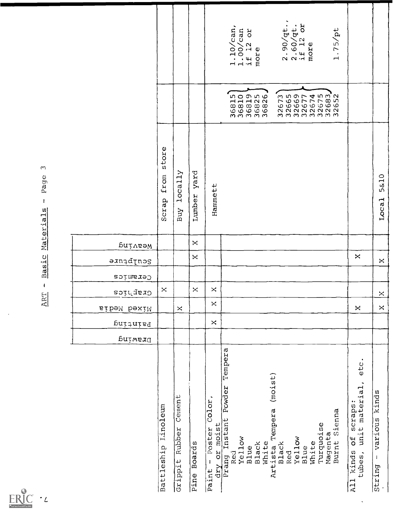| Full Text Provided by ERIC |
|----------------------------|
|----------------------------|

# ART - Basic Materials - Page 3

| $1.10/can,$<br>$1.00/can$<br>$if 12 or$<br>1.75/pt<br>more<br>more<br>36815<br>36819<br>36819<br>36826<br>36826<br>$72678$<br>$7266677$<br>$7266677$<br>$726677$<br>$72687$<br>$72687$<br>$72657$<br>$72657$<br>$72657$<br>store<br>$1$ oca $11$ y<br>$y$ ard<br>from<br>5&10<br>Hammett<br>Lumber<br>Scrap<br>Local<br>Buy<br>$\Join$<br>×<br>$\asymp$<br>×<br>×<br>$\times$<br>$\pmb{\times}$<br>$\times$<br>$\times$<br>$\times$<br>×<br>$\asymp$<br>$\times$<br>Powder Tempera<br>etc.<br>(moistst)<br>unit material,<br>kinds<br>Cement<br>Color,<br>scraps:<br>Battleship Linoleum<br>Artista Tempera<br>Sienna<br>Instant<br>various<br>dry or moist<br>Turquoise<br>- Poster<br>Rubber<br>Magenta<br>ЪÓ<br>Yellow<br>Yellow<br>Burnt<br><b>Black</b><br>White<br><b>Black</b><br>White<br>Boards<br>Blue<br>Blue<br>Red<br>Red<br>All kinds<br>tubes,<br>Prang<br>$\mathbf{I}$<br>Grippit<br>String<br>Paint<br>Pine | Drawing | painting | Neqŗs<br>pəxtw | sotudero | Ceramics | exnidinos | puivasw |                                   |
|------------------------------------------------------------------------------------------------------------------------------------------------------------------------------------------------------------------------------------------------------------------------------------------------------------------------------------------------------------------------------------------------------------------------------------------------------------------------------------------------------------------------------------------------------------------------------------------------------------------------------------------------------------------------------------------------------------------------------------------------------------------------------------------------------------------------------------------------------------------------------------------------------------------------------|---------|----------|----------------|----------|----------|-----------|---------|-----------------------------------|
|                                                                                                                                                                                                                                                                                                                                                                                                                                                                                                                                                                                                                                                                                                                                                                                                                                                                                                                              |         |          |                |          |          |           |         |                                   |
|                                                                                                                                                                                                                                                                                                                                                                                                                                                                                                                                                                                                                                                                                                                                                                                                                                                                                                                              |         |          |                |          |          |           |         |                                   |
|                                                                                                                                                                                                                                                                                                                                                                                                                                                                                                                                                                                                                                                                                                                                                                                                                                                                                                                              |         |          |                |          |          |           |         |                                   |
|                                                                                                                                                                                                                                                                                                                                                                                                                                                                                                                                                                                                                                                                                                                                                                                                                                                                                                                              |         |          |                |          |          |           |         |                                   |
|                                                                                                                                                                                                                                                                                                                                                                                                                                                                                                                                                                                                                                                                                                                                                                                                                                                                                                                              |         |          |                |          |          |           |         | $2.90/qt.,$<br>$2.60/qt.if 12 or$ |
|                                                                                                                                                                                                                                                                                                                                                                                                                                                                                                                                                                                                                                                                                                                                                                                                                                                                                                                              |         |          |                |          |          |           |         |                                   |
|                                                                                                                                                                                                                                                                                                                                                                                                                                                                                                                                                                                                                                                                                                                                                                                                                                                                                                                              |         |          |                |          |          |           |         |                                   |
|                                                                                                                                                                                                                                                                                                                                                                                                                                                                                                                                                                                                                                                                                                                                                                                                                                                                                                                              |         |          |                |          |          |           |         |                                   |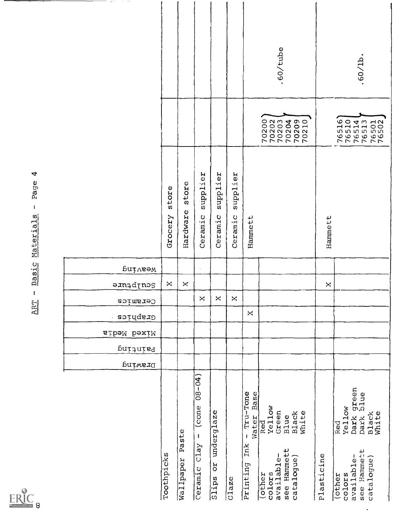| ์<br>18                                                                                                                           |         |                                |          | ART            | $\mathbf{r}$ |         | 4<br>Page<br>$\pmb{\mathsf{I}}$<br>Basic Materials |          |
|-----------------------------------------------------------------------------------------------------------------------------------|---------|--------------------------------|----------|----------------|--------------|---------|----------------------------------------------------|----------|
|                                                                                                                                   | Drawing | Aibed Media<br><b>Butquied</b> | Sorydero | Ceramics       | əxniqlus     | putvesw |                                                    |          |
| Toothpicks                                                                                                                        |         |                                |          |                | ×            |         | store<br>Grocery                                   |          |
| Paste<br><b>Wallpaper</b>                                                                                                         |         |                                |          |                | $\Join$      |         | store<br>Hardware                                  |          |
| $08 - 04$<br>(cone<br>$\mathbf{I}$<br>C1aY<br>Ceramic                                                                             |         |                                |          | ×              |              |         | supplier<br>Ceramic                                |          |
| underglaze<br>č<br>Slips                                                                                                          |         |                                |          | $\Join$        |              |         | supplier<br>Ceramic                                |          |
| $G1$ aze                                                                                                                          |         |                                |          | ×              |              |         | supplier<br>Ceramic                                |          |
| Tru-Tone<br>Base<br>Water<br>$\bar{1}$<br>Ink<br>Printing                                                                         |         |                                |          | $\pmb{\times}$ |              |         | Hammett                                            |          |
| Yellow<br>Green<br>Red<br>available-<br>colors<br>Tarpo)                                                                          |         |                                |          |                |              |         |                                                    |          |
| <b>Black</b><br>White<br>Blue<br>see Hammett<br>catalogue)                                                                        |         |                                |          |                |              |         | 70200<br>70203<br>70203<br>70209<br>70209<br>70210 | .60/tube |
| Plasticine                                                                                                                        |         |                                |          |                | ×            |         | Hammett                                            |          |
| Dark green<br>Dark blue<br>Yellow<br>Black<br>White<br>Dark<br>Red<br>see Hammett<br>catalogue)<br>available-<br>colors<br>(other |         |                                |          |                |              |         | 76516<br>76514<br>76514<br>76501<br>76502<br>76502 | .60/1b.  |
|                                                                                                                                   |         |                                |          |                |              |         |                                                    |          |

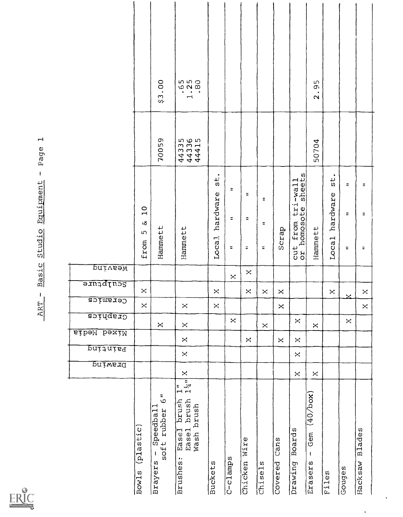

|                                                                                                  | Drawing      | <u>Painting</u> | Mixed Media | <u>apingsto</u> | Ceramics       | <u>əxnadrnəs</u> | phivesW  |                                                                               |  |
|--------------------------------------------------------------------------------------------------|--------------|-----------------|-------------|-----------------|----------------|------------------|----------|-------------------------------------------------------------------------------|--|
| (plastic)<br>Bow <sub>ls</sub>                                                                   |              |                 |             |                 | $\pmb{\times}$ | $\Join$          |          | $\begin{array}{c}\n0 \\ 1\n\end{array}$<br>ø<br>Ю,<br>from                    |  |
| Ξ<br>$\mathbf{o}$<br>- Speedball<br>soft rubber<br>Brayers                                       |              |                 |             | $\Join$         |                |                  |          | 00.<br>$\mathcal{E}$<br>20059<br>Hammett                                      |  |
| $\frac{1}{1} \frac{n}{4}$<br>hrush<br>brush<br>Wash brush<br>Easel<br>Easel<br>Easel<br>Brushes: | $\times$     | $\Join$         | $\Join$     | $\Join$         | $\times$       |                  |          | 6, 0, 0, 0,<br>$\overline{\phantom{0}}$<br>44335<br>44336<br>44415<br>Hammett |  |
| Buckets                                                                                          |              |                 |             |                 | $\times$       | $\Join$          |          | st.<br>hardware<br>Local                                                      |  |
| $C - c$ lamps                                                                                    |              |                 |             | ×               |                | ×                |          | Ξ<br>$\equiv$<br>$\ddot{\,}$                                                  |  |
| Wire<br>Chicken                                                                                  |              |                 | $\Join$     |                 |                | $\Join$          | $\times$ | $\Xi$<br>$\Xi$<br>$\equiv$                                                    |  |
| Chisels                                                                                          |              |                 |             | $\pmb{\times}$  |                | $\Join$          |          | $\Xi$<br>$\equiv$<br>Ξ                                                        |  |
| Cans<br>Covered                                                                                  |              |                 | $\Join$     |                 | ×              | $\Join$          |          | Scrap                                                                         |  |
| Boards<br>Drawing                                                                                | $\mathsf{x}$ | $\times$        | $\Join$     | $\pmb{\times}$  |                |                  |          | sheets<br>tri-wall<br>or homosote<br>cut from                                 |  |
| (40/box)<br>Gem<br>J.<br>Erasers                                                                 | $\times$     |                 |             | ×               |                |                  |          | 2.95<br>50704<br>Hammett                                                      |  |
| Files                                                                                            |              |                 |             |                 |                | $\Join$          |          | ٠<br>$\ddot{a}$<br>hardware<br>Local                                          |  |
| Gouges                                                                                           |              |                 |             | $\pmb{\times}$  | ×              |                  |          | $\Xi$<br>Ξ<br>$\equiv$                                                        |  |
| <b>Blades</b><br>Hacksaw                                                                         |              |                 |             |                 | $\times$       | ×                |          | Ξ<br>Ξ<br>$\ddot{\bullet}$                                                    |  |
|                                                                                                  |              |                 |             |                 |                |                  |          |                                                                               |  |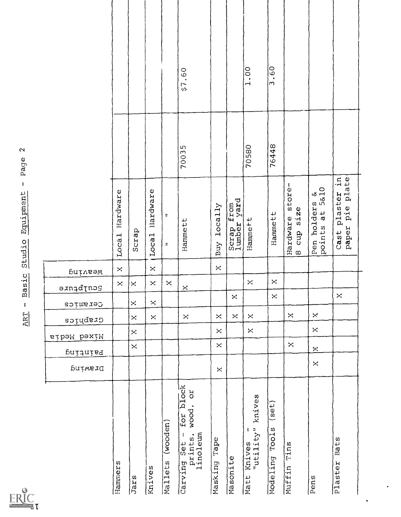| Full Text Provided by ERIC |
|----------------------------|

J

|             |                   |                       |                   |                            | \$7.60                                                                            |                   |                           | 1.00                               | .<br>60<br>$\sim$          |                                                |                                           |                                           |  |
|-------------|-------------------|-----------------------|-------------------|----------------------------|-----------------------------------------------------------------------------------|-------------------|---------------------------|------------------------------------|----------------------------|------------------------------------------------|-------------------------------------------|-------------------------------------------|--|
|             |                   |                       |                   |                            | 70035                                                                             |                   |                           | 70580                              | 76448                      |                                                |                                           |                                           |  |
|             | Hardware<br>Local | Scrap                 | Hardware<br>Local | $\equiv$<br>$\overline{z}$ | Hammett                                                                           | $1$ ocally<br>Buy | Scrap from<br>lumber yard | Hammett                            | Hammett                    | store-<br>size<br>Hardware<br>8 cup siz<br>cup | Pen holders &<br>points at 5&10<br>points | ter in<br>plaster<br>pie<br>reded<br>Cast |  |
| puiveaw     | $\pmb{\times}$    |                       | $\times$          |                            |                                                                                   | $\pmb{\times}$    |                           |                                    |                            |                                                |                                           |                                           |  |
| amadinos    | $\times$          | $\times$              | $\times$          | $\Join$                    | $\times$                                                                          |                   |                           | ×                                  | $\pmb{\times}$             |                                                |                                           |                                           |  |
| Ceramics    |                   | $\boldsymbol{\times}$ | $\times$          |                            |                                                                                   |                   | $\asymp$                  |                                    | $\times$                   |                                                |                                           | $\Join$                                   |  |
| Soryders    |                   | $\times$              | $\pmb{\times}$    |                            | $\pmb{\times}$                                                                    | $\pmb{\times}$    | $\Join$                   | $\pmb{\times}$                     |                            | $\Join$                                        | $\Join$                                   |                                           |  |
| sibəM bəxiM |                   | ×                     |                   |                            |                                                                                   | $\Join$           |                           | $\bowtie$                          |                            |                                                | $\pmb{\times}$                            |                                           |  |
| buraured    |                   | ×                     |                   |                            |                                                                                   | $\times$          |                           |                                    |                            | $\mathsf{x}$                                   | $\times$                                  |                                           |  |
| Drawing     |                   |                       |                   |                            |                                                                                   | $\times$          |                           |                                    |                            |                                                | $\times$                                  |                                           |  |
|             | Hammers           | Jars                  | Knives            | (wooden)<br>Mallets        | block<br><b>RO</b><br>wood,<br>for<br>Ing Set -<br>prints,<br>linoleum<br>Carving | Tape<br>Masking   | Masonite                  | "utility" knives<br>Knives<br>Matt | (set)<br>Tools<br>Modeling | Tins<br>Muffin                                 | Pens                                      | <b>Bats</b><br>Plaster                    |  |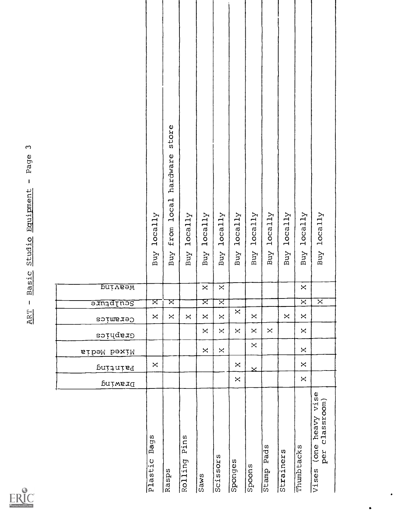

|                 | $1$ oca $11y$          | store<br>hardware<br>from local | $1$ oca $11y$   | $1$ oca $11y$              | $1$ oca $11y$         | Buy locally | Buy locally             | Buy locally   | Buy locally | Buy locally | Buy locally                                |  |
|-----------------|------------------------|---------------------------------|-----------------|----------------------------|-----------------------|-------------|-------------------------|---------------|-------------|-------------|--------------------------------------------|--|
|                 | <b>Ang</b>             | Buy                             | Buy             | Buy                        | Buy<br>$\overline{x}$ |             |                         |               |             | $\times$    |                                            |  |
| <u>Meaving</u>  |                        |                                 |                 | $\times$                   |                       |             |                         |               |             | ਸ਼          | $\overline{\mathsf{x}}$                    |  |
| <u>amadinos</u> | ਲ<br>$\pmb{\times}$    | X<br>$\pmb{\times}$             | $\Join$         | ×<br>$\boldsymbol{\times}$ | ਲ਼<br>$\times$        | ×           | ×                       |               | $\times$    | $\times$    |                                            |  |
| Ceramics        |                        |                                 |                 |                            |                       |             |                         | $\times$      |             | $\times$    |                                            |  |
| Grappics        |                        |                                 |                 | $\Join$                    | $\times$              | ×           | ×<br>×                  |               |             |             |                                            |  |
| sibeM bexiM     |                        |                                 |                 | $\Join$                    | $\Join$               |             |                         |               |             | $\times$    |                                            |  |
| <u>buting</u>   | $\Join$                |                                 |                 |                            |                       | $\Join$     | $\overline{\mathbf{x}}$ |               |             | $\times$    |                                            |  |
| Drawing         |                        |                                 |                 |                            |                       | $\Join$     |                         |               |             | $\times$    |                                            |  |
|                 | <b>Bags</b><br>Plastic | Rasps                           | Pins<br>Rolling | Saws                       | Scissors              | Sponges     | Spoons                  | Pads<br>Stamp | Strainers   | Thumbtacks  | (one heavy vise<br>per classroom)<br>Vises |  |

 $\bullet$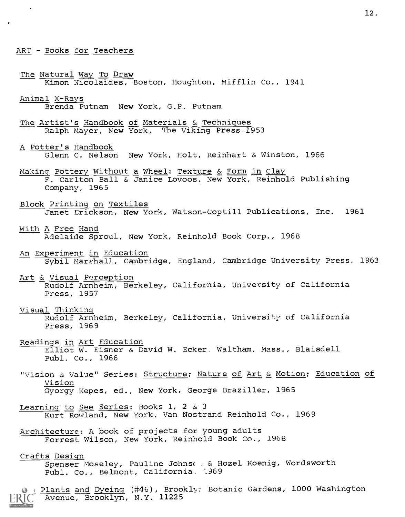#### ART - Books for Teachers

 $\hat{\mathbf{x}}$ 

- The Natural Way To Draw Kimon Nicolaides, Boston, Houghton, Mifflin Co., 1941 Animal X-Rays Brenda Putnam New York, G.P. Putnam The Artist's Handbook of Materials & Techniques Ralph Mayer, New York, The Viking Press,1953 A Potter's Handbook Glenn C. Nelson New York, Holt, Reinhart & Winston, 1966 Making Pottery Without a Wheel: Texture & Form in Clay F. Carlton Ball & Janice Lovoos, New York, Reinhold Publishing Company, 1965 Block Printing on Textiles Janet Erickson, New York, Watson-Coptill Publications, Inc. 1961 With A Free Hand Adelaide Sproul, New York, Reinhold Book Corp., 1968 An Experiment in Education Sybil Marshall., Cambridge, England, Cambridge University Press. 1963 Art & Visual Perception Rudolf Arnheim, Berkeley, California, University of California Press, 1957 Visual Thinking Rudolf Arnheim, Berkeley, California, University of California Press, 1969 Readings in Art Education Elliot W. Eisner & David W. Ecker. Waltham, Mass., Blaisdell Publ. Co., 1966 "Vision & Value" Series: Structure; Nature of Art & Motion; Education of Vision Gyorgy Kepes, ed., New York, George Braziller, 1965 Learning to See Series: Books 1, 2 & 3 Kurt Rowland, New York, Van Nostrand Reinhold Co., 1969 Architecture: A book of projects for young adults Forrest Wilson, New York, Reinhold Book Co., 1968 Crafts Design Spenser Moseley, Pauline Johns( . & Hozel Koenig, Wordsworth Publ. Co., Belmont, California. 1369
- Plants and Dyeing (#46), Brookly: Botanic Gardens, 1000 Washington Avenue, Brooklyn, N.Y. 11225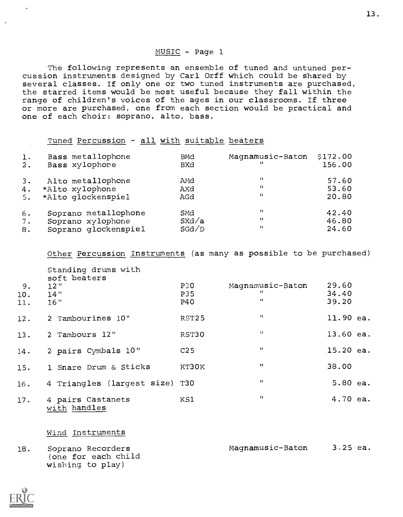#### MUSIC - Page 1

The following represents an ensemble of tuned and untuned percussion instruments designed by Carl Orff which could be shared by several classes. If only one or two tuned instruments are purchased, the starred items would be most useful because they fall within the range of children's voices of the ages in our classrooms. If three or more are purchased, one from each section would be practical and one of each choir: soprano, alto, bass.

#### Tuned Percussion - all with suitable beaters

| $\mathbf 1$ . | Bass metallophone    | BMd        | Magnamusic-Baton<br>-11 | \$172.00 |  |
|---------------|----------------------|------------|-------------------------|----------|--|
| 2.            | Bass xylophone       | <b>BXd</b> |                         | 156.00   |  |
| 3.            | Alto metallophone    | AMd        | $^{\prime}$             | 57.60    |  |
| 4.            | *Alto xylophone      | AXd        | 11                      | 53.60    |  |
| 5.            | *Alto glockenspiel   | AGd        | 11                      | 20.80    |  |
| 6.            | Soprano metallophone | SMd        | $\mathbf{H}$            | 42.40    |  |
| 7.            | Soprano xylophone    | S X d / a  | $\mathbf{H}$            | 46.80    |  |
| 8.            | Soprano glockenspiel | SGd/D      | $\mathbf{H}$            | 24.60    |  |

Other Percussion Instruments (as many as possible to be purchased)

| 9.<br>10.<br>11. | Standing drums with<br>soft beaters<br>12"<br>14"<br>16" | P30<br><b>P35</b><br>P40 | Magnamusic-Baton<br>-11<br>$\mathbf{H}$ | 29.60<br>34.40<br>39.20 |
|------------------|----------------------------------------------------------|--------------------------|-----------------------------------------|-------------------------|
| 12.              | 2 Tambourines 10"                                        | RST <sub>25</sub>        | $\mathbf{H}$                            | 11.90 ea.               |
| 13.              | 2 Tambours 12"                                           | RST30                    | $\mathbf{H}$                            | $13.60$ ea.             |
| 14.              | 2 pairs Cymbals 10"                                      | C <sub>25</sub>          | $\mathbf{H}$                            | 15.20 ea.               |
| 15.              | 1 Snare Drum & Sticks                                    | KT30K                    | $\pmb{\mathfrak{m}}$                    | 38.00                   |
| 16.              | 4 Triangles (largest size) T30                           |                          | $\mathbf{H}$                            | 5.80 ea.                |
| 17.              | 4 pairs Castanets<br>with handles                        | <b>KS1</b>               | $\mathbf{H}$                            | 4.70 ea.                |

#### Wind Instruments

(one for each child wishing to play)

18. Soprano Recorders Magnamusic-Baton 3.25 ea.



 $\ddot{\phantom{a}}$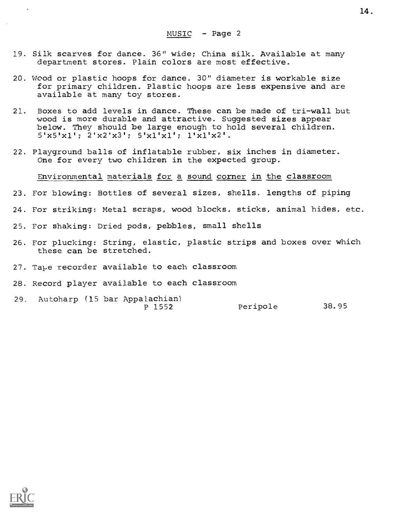- 19. Silk scarves for dance. 36" wide; China silk. Available at many department stores. Plain colors are most effective.
- 20. Wood or plastic hoops for dance. 30" diameter is workable size for primary children. Plastic hoops are less expensive and are available at many toy stores.
- 21. Boxes to add levels in dance. These can be made of tri-wall but wood is more durable and attractive. Suggested sizes appear below. They should be large enough to hold several children. 5'x5'xl'; 2'x2'x3'; 5'xl'xl'; l'xl'x2'.
- 22. Playground balls of inflatable rubber, six inches in diameter. One for every two children in the expected group.

Environmental materials for a sound corner in the classroom

- 23. For blowing: Bottles of several sizes, shells. lengths of piping
- 24. For striking: Metal scraps, wood blocks, sticks, animal hides, etc.
- 25. For shaking: Dried pods, pebbles, small shells
- 26. For plucking: String, elastic, plastic strips and boxes over which these can be stretched.
- 27. Tape recorder available to each classroom
- 28. Record player available to each classroom
- 29. Autoharp (15 bar Appalachian) Peripole 38.95

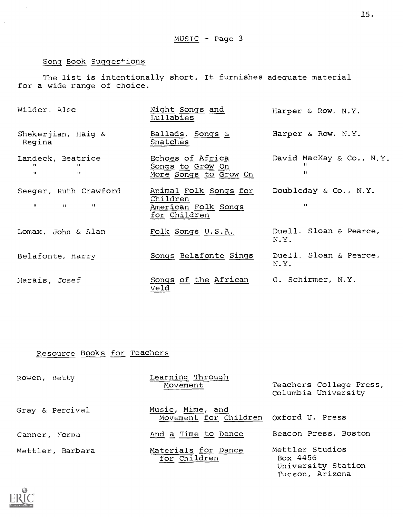# Song Book Suggestions

 $\bar{\mathcal{A}}$ 

 $\Delta$ 

The list is intentionally short. It furnishes adequate material for a wide range of choice.

| Wilder. Alec                                                             | Night Songs and<br>Lullabies                                             | Harper & Row, N.Y.                             |
|--------------------------------------------------------------------------|--------------------------------------------------------------------------|------------------------------------------------|
| Shekerjian, Haig &<br>Regina                                             | Ballads, Songs &<br>Snatches                                             | Harper & Row. N.Y.                             |
| Landeck, Beatrice<br>11<br>$\mathbf{H}$<br>$\mathbf{11}$<br>$\mathbf{H}$ | Echoes of Africa<br>Songs to Grow On<br>More Songs to Grow On            | David MacKay & Co., N.Y.<br>11<br>$\mathbf{H}$ |
| Seeger, Ruth Crawford<br>$\mathbf{H}$<br>$\mathbf{H}$<br>$\mathbf{u}$    | Animal Folk Songs for<br>Children<br>American Folk Songs<br>for Children | Doubleday & Co., N.Y.<br>$\mathbf{11}$         |
| Lomax, John & Alan                                                       | Folk Songs U.S.A.                                                        | Duell. Sloan & Pearce,<br>N.Y.                 |
| Belafonte, Harry                                                         | Songs Belafonte Sings                                                    | Duell. Sloan & Pearce,<br>$N \cdot Y$ .        |
| Marais, Josef                                                            | Songs of the African<br>Veld                                             | G. Schirmer, N.Y.                              |

# Resource Books for Teachers

| Rowen, Betty     | Learning Through<br>Movement                              | Teachers College Press,<br>Columbia University                       |
|------------------|-----------------------------------------------------------|----------------------------------------------------------------------|
| Gray & Percival  | Music, Mime, and<br>Movement for Children Oxford U. Press |                                                                      |
| Canner, Norma    | And a Time to Dance                                       | Beacon Press, Boston                                                 |
| Mettler, Barbara | Materials for Dance<br>for Children                       | Mettler Studios<br>Box 4456<br>University Station<br>Tucson, Arizona |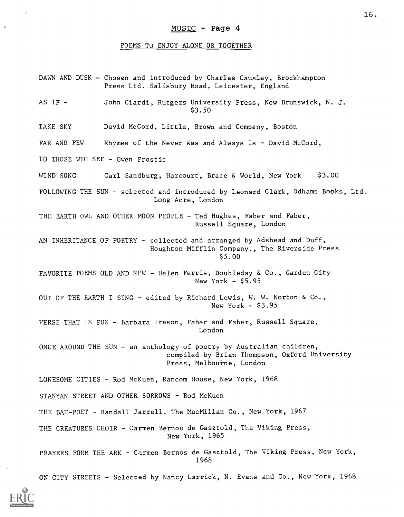POEMS TU ENJOY ALONE OR TOGETHER

| DAWN AND DUSK - Chosen and introduced by Charles Causley, Brockhampton<br>Press Ltd. Salisbury Road, Leicester, England                           |
|---------------------------------------------------------------------------------------------------------------------------------------------------|
| AS IF $-$<br>John Ciardi, Rutgers University Press, New Brunswick, N. J.<br>\$3.50                                                                |
| TAKE SKY<br>David McCord, Little, Brown and Company, Boston                                                                                       |
| FAR AND FEW<br>Rhymes of the Never Was and Always Is - David McCord,                                                                              |
| TO THOSE WHO SEE - Gwen Frostic                                                                                                                   |
| WIND SONG<br>\$3.00<br>Carl Sandburg, Harcourt, Brace & World, New York                                                                           |
| FOLLOWING THE SUN - selected and introduced by Leonard Clark, Odhams Books, Ltd.<br>Long Acre, London                                             |
| THE EARTH OWL AND OTHER MOON PEOPLE - Ted Hughes, Faber and Faber,<br>Russell Square, London                                                      |
| AN INHERITANCE OF POETRY - collected and arranged by Adshead and Duff,<br>Houghton Mifflin Company., The Riverside Press<br>\$5.00                |
| FAVORITE POEMS OLD AND NEW - Helen Ferris, Doubleday & Co., Garden City<br>New York $-$ \$5.95                                                    |
| OUT OF THE EARTH I SING - edited by Richard Lewis, W. W. Norton & Co.,<br>New York $-$ \$3.95                                                     |
| VERSE THAT IS FUN - Barbara Ireson, Faber and Faber, Russell Square,<br>London                                                                    |
| ONCE AROUND THE SUN - an anthology of poetry by Australian children,<br>compiled by Brian Thompson, Oxford University<br>Press, Melbourne, London |
| LONESOME CITIES - Rod McKuen, Random House, New York, 1968                                                                                        |
| STANYAN STREET AND OTHER SORROWS - Rod McKuen                                                                                                     |
| THE BAT-POET - Randall Jarrell, The MacMillan Co., New York, 1967                                                                                 |
| THE CREATURES CHOIR - Carmen Bernos de Gasztold, The Viking Press,<br>New York, 1965                                                              |
| PRAYERS FORM THE ARK - Carmen Bernos de Gasztold, The Viking Press, New York,<br>1968                                                             |
| ON CITY STREETS - Selected by Nancy Larrick, N. Evans and Co., New York, 1968                                                                     |



 $\langle \cdot, \cdot \rangle$ 

 $\bar{\mathcal{A}}$ 

16.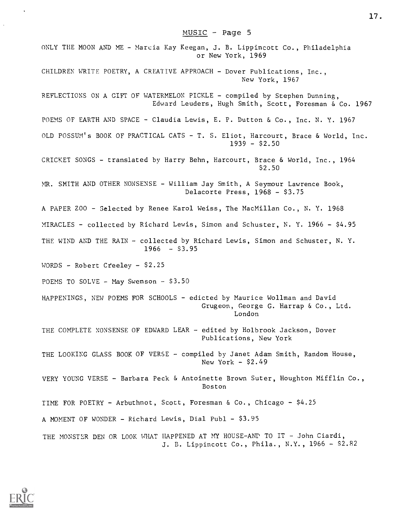ONLY THE MOON AND ME - Marcia Kay Keegan, J. B. Lippincott Co., Philadelphia or New York, 1969 CHILDREN WRITE POETRY, A CREATIVE APPROACH - Dover Publications, Inc., New York, 1967 REFLECTIONS ON A GIFT OF WATERMELON PICKLE compiled by Stephen Dunning, Edward Leuders, Hugh Smith, Scott, Foresman & Co. 1967 POEMS OF EARTH AND SPACE - Claudia Lewis, E. P. Dutton & Co., Inc. N. Y. 1967 OLD POSSUM's BOOK OF PRACTICAL CATS - T. S. Eliot, Harcourt, Brace & World, Inc.  $1939 - $2.50$ CRICKET SONGS - translated by Harry Behn, Harcourt, Brace & World, Inc., 1964 \$2.50 MR. SMITH AND OTHER NONSENSE - William Jay Smith, A Seymour Lawrence Book, Delacorte Press, 1968 - \$3.75 A PAPER ZOO - Selected by Renee Karol Weiss, The MacMillan Co., N. Y. 1968 MIRACLES - collected by Richard Lewis, Simon and Schuster, N. Y. 1966 - \$4.95 THE WIND AND THE RAIN - collected by Richard Lewis, Simon and Schuster, N. Y.  $1966 - $3.95$ WORDS - Robert Cfeeley - \$2.25 POEMS TO SOLVE - May Swenson - \$3.50 HAPPENINGS, NEW POEMS FOR SCHOOLS - edicted by Maurice Wollman and David Grugeon, George G. Harrap & Co., Ltd. London THE COMPLETE NONSENSE OF EDWARD LEAR - edited by Holbrook Jackson, Dover Publications, New York THE LOOKING GLASS BOOK OF VERSE - compiled by Janet Adam Smith, Random House, New York  $-$  \$2.49 VERY YOUNG VERSE - Barbara Peck & Antoinette Brown Suter, Houghton Mifflin Co., Boston TIME FOR POETRY - Arbuthnot, Scott, Foresman & Co., Chicago -  $$4.25$ A MOMENT OF WONDER - Richard Lewis, Dial Publ - \$3.95 THE MONSTER DEN OR LOOK WHAT HAPPENED AT MY HOUSE-AND TO IT - John Ciardi, J. B. Lippincott Co., Phila., N.Y., 1966 - S2.82



17.

 $MUSIC - Page 5$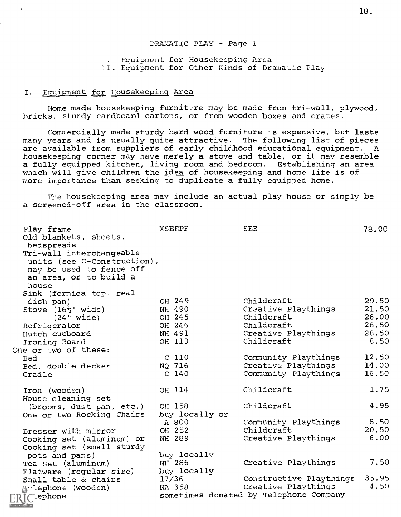#### DRAMATIC PLAY - Page 1

- I. Equipment for Housekeeping Area
- II. Equipment for Other Kinds of Dramatic Play-

#### I. Equipment for Housekeeping Area

Home made housekeeping furniture may be made from tri-wall, plywood, bricks, sturdy cardboard cartons, or from wooden boxes and crates.

Commercially made sturdy hard wood furniture is expensive, but lasts many years and is usually quite attractive. The following list of pieces are available from suppliers of early childhood educational equipment. A housekeeping corner may have merely a stove and table, or it may resemble a fully equipped kitchen, living room and bedroom. Establishing an area which will give children the idea of housekeeping and home life is of more importance than seeking to duplicate a fully equipped home.

The housekeeping area may include an actual play house or simply be a screened-off area in the classroom.

| Play frame<br>Old blankets, sheets,<br>bedspreads | XSEEPF           | <b>SEE</b>                             | 78.00          |
|---------------------------------------------------|------------------|----------------------------------------|----------------|
| Tri-wall interchangeable                          |                  |                                        |                |
| units (see C-Construction),                       |                  |                                        |                |
| may be used to fence off                          |                  |                                        |                |
| an area, or to build a                            |                  |                                        |                |
| house                                             |                  |                                        |                |
| Sink (formica top. real                           |                  |                                        |                |
| dish pan)                                         | OH 249           | Childcraft                             | 29.50          |
| Stove $(16\frac{1}{2}$ " wide)                    | NH 490           | Creative Playthings                    | 21.50          |
| $(24"$ wide)                                      | OH 245           | Childcraft                             | 26.00          |
| Refrigerator                                      | OH 246           | Childcraft                             | 28.50          |
| Hutch cupboard                                    | NH 491           | Creative Playthings                    | 28.50          |
| Ironing Board                                     | OH 113           | Childcraft                             | 8.50           |
| One or two of these:                              |                  |                                        |                |
| Bed                                               | $C$ 110          | Community Playthings                   | 12.50<br>14.00 |
| Bed, double decker                                | NQ 716           | Creative Playthings                    |                |
| Cradle                                            | C <sub>140</sub> | Community Playthings                   | 16.50          |
| Iron (wooden)                                     | OH 114           | Childcraft                             | 1.75           |
| House cleaning set                                |                  |                                        |                |
| (brooms, dust pan, etc.)                          | OH 158           | Childcraft                             | 4.95           |
| One or two Rocking Chairs                         | buy locally or   |                                        |                |
|                                                   | A 800            | Community Playthings                   | 8.50           |
| Dresser with mirror                               | OH 252           | Childcraft                             | 20.50          |
| Cooking set (aluminum) or                         | NH 289           | Creative Playthings                    | 6.00           |
| Cooking set (small sturdy                         |                  |                                        |                |
| pots and pans)                                    | buy locally      |                                        |                |
| Tea Set (aluminum)                                | NH 286           | Creative Playthings                    | 7.50           |
| Flatware (regular size)                           | buy locally      |                                        |                |
| Small table & chairs                              | 17/36            | Constructive Playthings                | 35.95          |
| Tolephone (wooden)                                | NA 358           | Creative Playthings                    | 4.50           |
| RIClephone                                        |                  | sometimes donated by Telephone Company |                |
|                                                   |                  |                                        |                |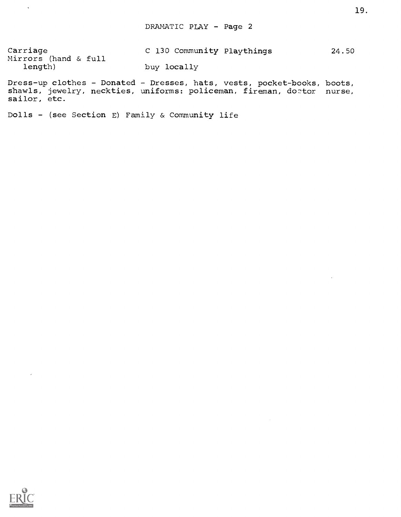Carriage Mirrors (hand & full length) C 130 Community Playthings 24.50 buy locally

Dress-up clothes - Donated - Dresses, hats, vests, pocket-books, boots, shawls, jewelry, neckties, uniforms: policeman, fireman, dortor nurse, sailor, etc.

Dolls - (see Section E) Family & Community life



 $\ddot{\phantom{a}}$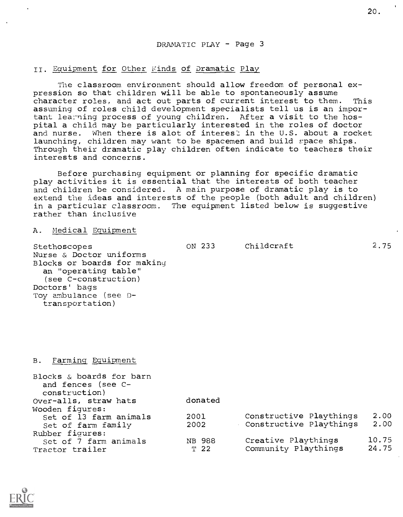#### DRAMATIC PLAY - Page 3

#### II. Equipment for Other Kinds of Dramatic Play

The classroom environment should allow freedom of personal expression so that children will be able to spontaneously assume character roles, and act out parts of current interest to them. This assuming of roles child development specialists tell us is an important learning process of young children. After a visit to the hospital a child may be particularly interested in the roles of doctor and nurse. When there is alot of interest in the U.S. about a rocket launching, children may want to be spacemen and build space ships. Through their dramatic play children often indicate to teachers their interests and concerns.

Before purchasing equipment or planning for specific dramatic play activities it is essential that the interests of both teacher and children be considered. A main purpose of dramatic play is to extend the ideas and interests of the people (both adult and children) in a particular classroom. The equipment listed below is suggestive rather than inclusive

#### A. Medical Equipment

| Stethoscopes                | ON 233 | Childcraft | 2.75 |
|-----------------------------|--------|------------|------|
| Nurse & Doctor uniforms     |        |            |      |
| Blocks or boards for making |        |            |      |
| an "operating table"        |        |            |      |
| (see C-construction)        |        |            |      |
| Doctors' bags               |        |            |      |
| Toy ambulance (see D-       |        |            |      |
| transportation)             |        |            |      |
|                             |        |            |      |
|                             |        |            |      |

#### B. Farming Equipment

| Blocks & boards for barn<br>and fences (see C-<br>construction) |                 |                         |       |
|-----------------------------------------------------------------|-----------------|-------------------------|-------|
| Over-alls, straw hats                                           | donated         |                         |       |
| Wooden figures:                                                 |                 |                         |       |
| Set of 13 farm animals                                          | 2001            | Constructive Playthings | 2.00  |
| Set of farm family                                              | 2002            | Constructive Playthings | 2.00  |
| Rubber figures:                                                 |                 |                         |       |
| Set of 7 farm animals                                           | NB 988          | Creative Playthings     | 10.75 |
| Tractor trailer                                                 | T <sub>22</sub> | Community Playthings    | 24.75 |
|                                                                 |                 |                         |       |



20.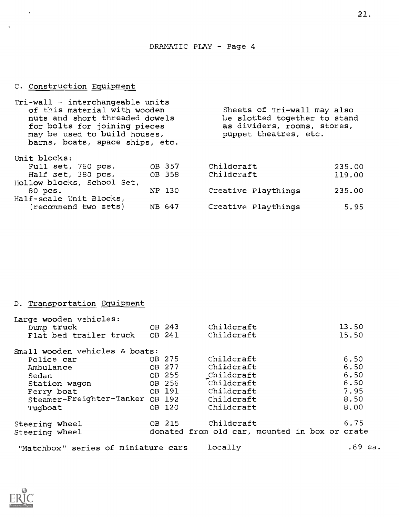## DRAMATIC PLAY - Page 4

## C. Construction Equipment

 $\sim$   $\sim$ 

 $\sim$   $\sim$ 

| Tri-wall - interchangeable units<br>of this material with wooden<br>nuts and short threaded dowels<br>for bolts for joining pieces<br>may be used to build houses,<br>barns, boats, space ships, etc. |        | Sheets of Tri-wall may also<br>be slotted together to stand<br>as dividers, rooms, stores,<br>puppet theatres, etc. |        |  |  |  |  |
|-------------------------------------------------------------------------------------------------------------------------------------------------------------------------------------------------------|--------|---------------------------------------------------------------------------------------------------------------------|--------|--|--|--|--|
| Unit blocks:                                                                                                                                                                                          |        |                                                                                                                     |        |  |  |  |  |
| Full set, 760 pcs.                                                                                                                                                                                    | OB 357 | Childcraft                                                                                                          | 235.00 |  |  |  |  |
| Half set, 380 pcs.                                                                                                                                                                                    | OB 358 | Childcraft                                                                                                          | 119.00 |  |  |  |  |
| Hollow blocks, School Set,                                                                                                                                                                            |        |                                                                                                                     |        |  |  |  |  |
| 80 pcs.                                                                                                                                                                                               | NP 130 | Creative Playthings                                                                                                 | 235.00 |  |  |  |  |
| Half-scale Unit Blocks,                                                                                                                                                                               |        |                                                                                                                     |        |  |  |  |  |
| (recommend two sets)                                                                                                                                                                                  | NB 647 | Creative Playthings                                                                                                 | 5.95   |  |  |  |  |

## D. Transportation Equipment

| Large wooden vehicles:                     |        |        |                                               |         |
|--------------------------------------------|--------|--------|-----------------------------------------------|---------|
| Dump truck                                 |        | OB 243 | Childcraft                                    | 13.50   |
| Flat bed trailer truck OB 241              |        |        | Childcraft                                    | 15.50   |
| Small wooden vehicles & boats:             |        |        |                                               |         |
| Police car                                 | OB 275 |        | Childcraft                                    | 6.50    |
| Ambulance                                  |        | OB 277 | Childcraft                                    | 6.50    |
| Sedan                                      |        | OB 255 | Childcraft                                    | 6.50    |
| Station wagon                              |        | OB 256 | Childcraft                                    | 6.50    |
| OB 191 Childcraft<br>Ferry boat            |        |        |                                               | 7.95    |
| Steamer-Freighter-Tanker OB 192 Childcraft |        |        |                                               | 8.50    |
| Tugboat                                    | OB 120 |        | Childcraft                                    | 8.00    |
| Steering wheel                             |        | OB 215 | Childcraft                                    | 6.75    |
| Steering wheel                             |        |        | donated from old car, mounted in box or crate |         |
| "Matchbox" series of miniature cars        |        |        | locally                                       | .69 ea. |



21.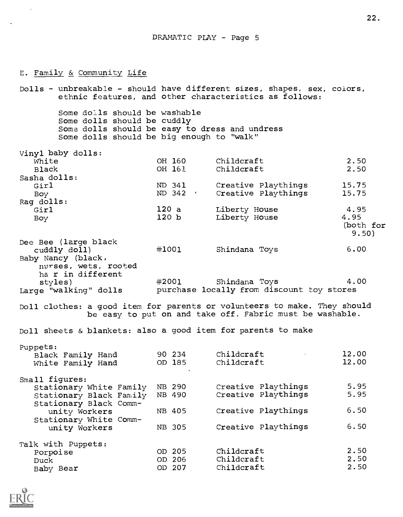#### E. Family & Community Life

Dolls - unbreakable - should have different sizes, shapes, sex, colors, ethnic features, and other characteristics as follows: Some dolls should be washable Some dolls should be cuddly Some dolls should be easy to dress and undress Some dolls should be big enough to "walk" Vinyl baby dolls: white Black Sasha dolls: Girl Boy Rag dolls: Girl Boy Dee Bee (large black the state of the state of the state of the state of the state of the state of the state o<br>the state of the state of the state of the state of the state of the state of the state of the state of the st cuddly doll) Baby Nancy (black, nurses, wets, rooted ha r in different styles) Large "walking" dolls Doll clothes: a good item for parents or volunteers to make. They should be easy to put on and take off. Fabric must be washable. OH 160 OH 161 ND 341 ND 342 Childcraft Childcraft 2.50 2.50 Creative Playthings 15.75<br>Creative Playthings 15.75 Creative Playthings 120 a Liberty House<br>120 b Liberty House Liberty House 4.95 4.95 (both for 9.50)  $\frac{1}{1000}$  Shindana Toys 6.00 Shindana Toys 4.00 purchase locally from discount toy stores Doll sheets & blankets: also a good item for parents to make Puppets: alack Family Hand 90 234 Childcraft 12.00<br>White Family Hand 0D 185 Childcraft 12.00 White Family Hand Small figures: Stationary White Family NB 290 Creative Playthings 5.95<br>Stationary Black Family NB 490 Creative Playthings 5.95 Stationary Black Family Stationary Black Community Workers MB 405 Creative Playthings 6.50 Stationary White Community Workers MB 305 Creative Playthings 6.50 Talk with Puppets:<br>Porpoise Porpoise **Childcraft** 2.50 Duck OD 206 Childcraft 2.50 Baby Bear 0D 207 Childcraft 2.50

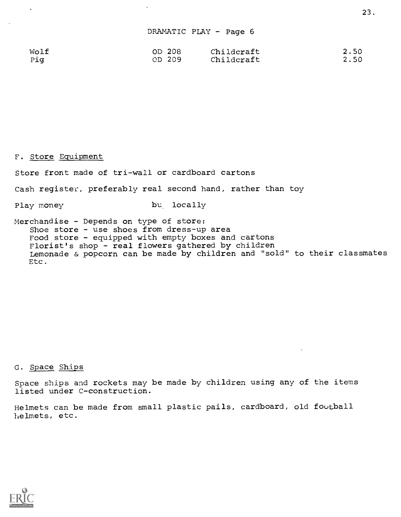#### DRAMATIC PLAY - Page 6

| Wolf | 208<br>OD. | Childcraft | 2.50 |
|------|------------|------------|------|
| Pig  | 209<br>CC  | Childcraft | 2.50 |

F. Store Equipment

Store front made of tri-wall or cardboard cartons

Cash register, preferably real second hand, rather than toy

Play money bu locally

Merchandise - Depends on type of store: Shoe store - use shoes from dress-up area Food store - equipped with empty boxes and cartons Florist's shop - real flowers gathered by children Lemonade & popcorn can be made by children and "sold" to their classmates Etc.

#### G. Space Ships

Space ships and rockets may be made by children using any of the items listed under C-construction.

Helmets can be made from small plastic pails, cardboard, old football helmets, etc.

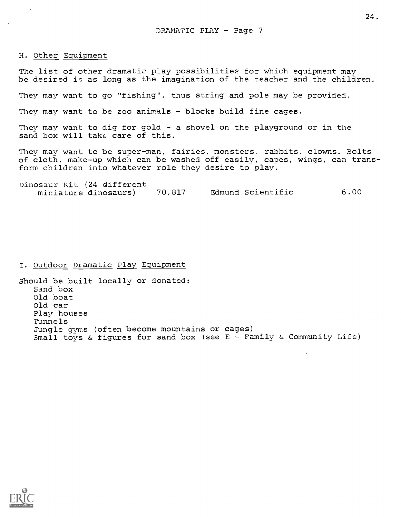H. Other Equipment

The list of other dramatic play possibilities for which equipment may be desired is as long as the imagination of the teacher and the children. They may want to go "fishing", thus string and pole may be provided. They may want to be zoo animals  $-$  blocks build fine cages. They may want to dig for gold  $-$  a shovel on the playground or in the sand box will take care of this. They may want to be super-man, fairies, monsters, rabbits. clowns. Bolts

of cloth, make-up which can be washed off easily, capes, wings, can transform children into whatever role they desire to play.

Dinosaur Kit (24 different miniature dinosaurs) 70,817 Edmund Scientific 6.00

#### I. Outdoor Dramatic Play Equipment

Should be built locally or donated: Sand box Old boat Old car Play houses Tunnels Jungle gyms (often become mountains or cages) Small toys & figures for sand box (see  $E$  - Family & Community Life)

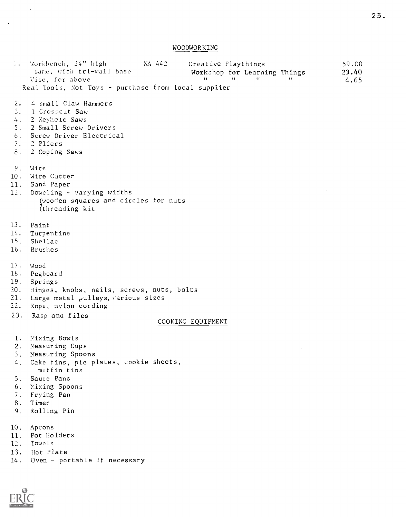#### WOODWORKING

1. Workbench, 24" high NA 442 Creative Playthings<br>same, with tri-wall base **Workshop for Learn**: Workshop for Learning Things Vise, for above Real Tools, Not Toys - purchase from local supplier 2. 4 small Claw Hammers 3. 1 Crosscut Saw 4. 2 Keyhole Saws 5. 2 Small Screw Drivers 6. Screw Driver Electrical 7. 2 Pliers 8. 2 Coping Saws 9. Wire 10. Wire Cutter 11. Sand Paper 12. Doweling - varying widths wooden squares and circles for nuts threading kit 13. Paint 14. Turpentine 15. Shellac 16. Brushes 17. Wood 18. Pegboard 19. Springs 20. Hinges, knobs, nails, screws, nuts, bolts 21. Large metal pulleys,various sizes 22. Rope, nylon cording 23. Rasp and files COOKING EQUIPMENT 1. Mixing Bowls 2. Measuring Cups 3. Measuring Spoons 4. Cake tins, pie plates, cookie sheets, muffin tins 5. Sauce Pans 6. Mixing Spoons 7. Frying Pan 8. Timer 9. Rolling Pin 10. Aprons 11. Pot Holders 12. Towels 13. Hot Plate 14. Oven - portable if necessary 59.00 23.40 4.65

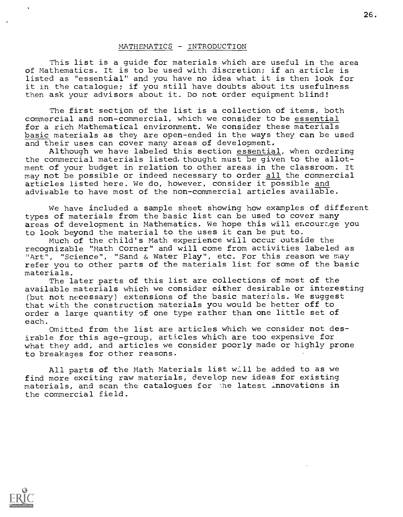#### MATHEMATICS - INTRODUCTION

This list is a guide for materials which are useful in the area of Mathematics. It is to be used with discretion; if an article is listed as "essential" and you have no idea what it is then look for it in the catalogue; if you still have doubts about its usefulness then ask your advisors about it. Do not order equipment blind!

The first section of the list is a collection of items, both commercial and non-commercial, which we consider to be essential for a rich Mathematical environment. We consider these materials basic materials as they are open-ended in the ways they can be used and their uses can cover many areas of development.

Although we have labeled this section essential, when ordering the commercial materials listed, thought must be given to the allotment of your budget in relation to other areas in the classroom. It may not be possible or indeed necessary to order all the commercial articles listed here. We do, however, consider it possible and advisable to have most of the non-commercial articles available.

We have included a sample sheet showing how examples of different types of materials from the basic list can be used to cover many areas of development in Mathematics. We hope this will encourage you to look beyond the material to the uses it can be put to.

Much of the child's Math experience will occur outside the recognizable "Math Corner" and will come from activities labeled as "Art", "Science", "Sand & Water Play", etc. For this reason we may refer you to other parts of the materials list for some of the basic materials.

The later parts of this list are collections of most of the available materials which we consider either desirable or interesting (but not necessary) extensions of the basic materials. We suggest that with the construction materials you would be better off to order a large quantity of one type rather than one little set of each.

Omitted from the list are articles which we consider not desirable for this age-group, articles which are too expensive for what they add, and articles we consider poorly made or highly prone to breakages for other reasons.

All parts of the Math Materials list will be added to as we find more exciting raw materials, develop new ideas for existing materials, and scan the catalogues for :he latest innovations in the commercial field.

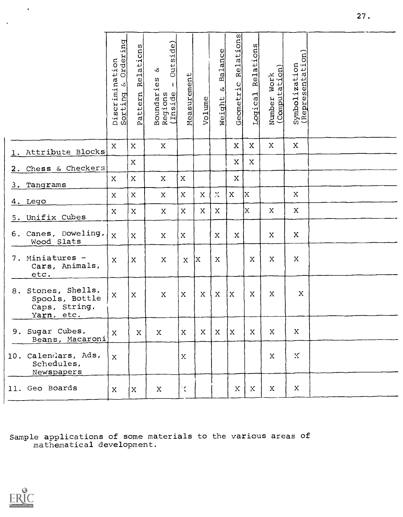|                                                                     | Discrimination<br>Sorting & Ordering | Relations<br>Pattern | Outside<br>vð.<br>$\begin{array}{l} \text{Boundary} \\ \text{Regions} \\ \text{Inside} - \text{C} \end{array}$ | Measurement   | Volume       | Balance<br>$\infty$<br>Weight | Geometric Relations | Relations<br>Logical | Number Work<br>(Computation) | Symbolization<br>(Representation) |  |  |
|---------------------------------------------------------------------|--------------------------------------|----------------------|----------------------------------------------------------------------------------------------------------------|---------------|--------------|-------------------------------|---------------------|----------------------|------------------------------|-----------------------------------|--|--|
| 1. Attribute Blocks                                                 | $\mathbf{X}$                         | $\mathbf X$          | $\mathbf X$                                                                                                    |               |              |                               | $\mathbf x$         | $\mathbf{X}$         | $\mathbf{X}$                 | $\mathbf x$                       |  |  |
| 2. Chess & Checkers                                                 |                                      | $\mathbf X$          |                                                                                                                |               |              |                               | $\mathbf x$         | $\mathbf{X}$         |                              |                                   |  |  |
| 3. Tangrams                                                         | $\mathbf{X}$                         | $\mathbf X$          | $\mathbf X$                                                                                                    | $\mathbf{X}$  |              |                               | X                   |                      |                              |                                   |  |  |
| 4. Lego                                                             | $\mathbf x$                          | $\mathbf X$          | $\mathbf X$                                                                                                    | X             | $\mathbf{X}$ | $\mathbb{X}$                  | X                   | <b>X</b>             |                              | X                                 |  |  |
| 5. Unifix Cubes                                                     | $\mathbf X$                          | $\mathbf X$          | $\mathbf X$                                                                                                    | X             | X            | X                             |                     | X.                   | X                            | X                                 |  |  |
| 6. Canes, Doweling,<br>Wood Slats                                   | $\mathbf x$                          | $\mathbf X$          | X                                                                                                              | X             |              | X                             | $\mathbf x$         |                      | X                            | X                                 |  |  |
| 7. Miniatures -<br>Cars, Animals,<br>etc.                           | $\mathbf{X}$                         | $\mathbf X$          | X                                                                                                              | $\mathbf X$   | IX.          | $\mathbf X$                   |                     | X                    | X                            | $\mathbf X$                       |  |  |
| 8. Stones, Shells,<br>Spools, Bottle<br>Caps, String,<br>Yarn, etc. | X                                    | $\mathbf X$          | $\mathbf X$                                                                                                    | $\mathbf X$   | $\mathbf X$  | $\mathbf x$                   | $\mathbf x$         | X                    | X                            | X                                 |  |  |
| 9. Sugar Cubes,<br>Macaroni<br>Beans,                               | $\mathbf X$                          | $\mathbf X$          | $\mathbf X$                                                                                                    | $\mathbf X$   | X            | $\mathbf{X}$                  | $\mathbf X$         | X                    | X                            | $\mathbf x$                       |  |  |
| 10. Calendars, Ads,<br>Schedules,<br>Newspapers                     | $\mathbf x$                          |                      |                                                                                                                | X.            |              |                               |                     |                      | X                            | X                                 |  |  |
| 11. Geo Boards                                                      | X.                                   | $\mathbf X$          | X                                                                                                              | $\frac{1}{2}$ |              |                               | X                   | X                    | X                            | X                                 |  |  |

Sample applications of some materials to the various areas of mathematical development.



 $\ddot{\phantom{0}}$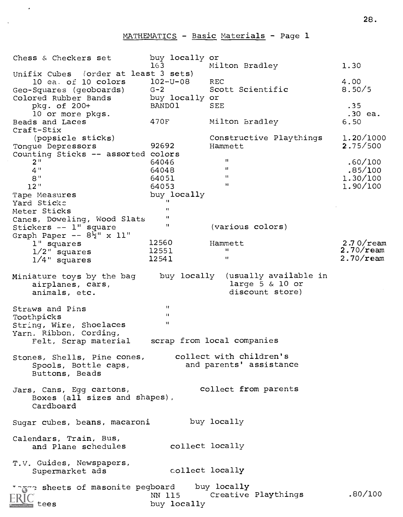# MATHEMATICS - Basic Materials - Page 1

 $\mathcal{L}_{\mathcal{A}}$ 

 $\sim$   $\sim$ 

| Chess & Checkers set                          | buy locally or<br>163 | Milton Bradley                    | 1.30         |
|-----------------------------------------------|-----------------------|-----------------------------------|--------------|
| Unifix Cubes (order at least 3 sets)          |                       |                                   |              |
| 10 ea. of 10 colors                           | $102 - U - 08$        | <b>REC</b>                        | 4.00         |
| Geo-Squares (geoboards)                       | $G - 2$               | Scott Scientific                  | 8.50/5       |
| Colored Rubber Bands                          | buy locally or        |                                   |              |
| pkg. of $200+$                                | BANDO1                | <b>SEE</b>                        | .35          |
| 10 or more pkgs.                              |                       |                                   | $.30$ ea.    |
| Beads and Laces                               | 470F                  | Milton Bradley                    | 6.50         |
| Craft-Stix                                    |                       |                                   |              |
| (popsicle sticks)                             |                       | Constructive Playthings           | 1.20/1000    |
| Tonque Depressors                             | 92692                 | Hammett                           | 2.75/500     |
| Counting Sticks -- assorted colors            |                       |                                   |              |
| 2 <sup>ii</sup>                               | 64046                 | $\mathbf{H}$                      | .60/100      |
| 4"                                            | 64048                 | $\mathbf{H}$                      | .85/100      |
| 8"                                            | 64051                 | $11 -$                            | 1.30/100     |
| 12"                                           | 64053                 | $\mathbf{H}$                      | 1.90/100     |
| Tape Measures                                 | buy locally           |                                   |              |
| Yard Sticks                                   | $\mathbf{H}$          |                                   |              |
| Meter Sticks                                  | $11 -$                |                                   |              |
| Canes, Doweling, Wood Slats                   | $\mathbf{H}$          |                                   |              |
| Stickers -- l" square                         | n                     | (various colors)                  |              |
| Graph Paper $-- 8\frac{1}{2}$ " x 11"         |                       |                                   |              |
|                                               | 12560                 | Hammett                           | $2.70$ /ream |
| 1" squares<br>$1/2$ " squares                 | 12551                 | $\mathbf{H}$                      | $2.70$ /ream |
|                                               | 12541                 | $\mathbf{H}$                      | $2.70$ /ream |
| $1/4$ " squares                               |                       |                                   |              |
| Miniature toys by the bag                     |                       | buy locally (usually available in |              |
| airplanes, cars,                              |                       | large $5 \& 10$ or                |              |
| animals, etc.                                 |                       | discount store)                   |              |
|                                               |                       |                                   |              |
| Straws and Pins                               | $\mathbf{11}$         |                                   |              |
| Toothpicks                                    | $\mathbf{H}$          |                                   |              |
| String, Wire, Shoelaces                       | $\mathbf{H}$          |                                   |              |
| Yarn. Ribbon, Cording,                        |                       |                                   |              |
| Felt, Scrap material                          |                       | scrap from local companies        |              |
|                                               |                       |                                   |              |
| Stones, Shells, Pine cones,                   |                       | collect with children's           |              |
| Spools, Bottle caps,                          |                       | and parents' assistance           |              |
| Buttons, Beads                                |                       |                                   |              |
|                                               |                       |                                   |              |
| Jars, Cans, Egg cartons,                      |                       | collect from parents              |              |
| Boxes (all sizes and shapes),                 |                       |                                   |              |
| Cardboard                                     |                       |                                   |              |
|                                               |                       |                                   |              |
| Sugar cubes, beans, macaroni                  |                       | buy locally                       |              |
|                                               |                       |                                   |              |
| Calendars, Train, Bus,                        |                       |                                   |              |
| and Plane schedules                           | collect locally       |                                   |              |
|                                               |                       |                                   |              |
| T.V. Guides, Newspapers,                      |                       |                                   |              |
| Supermarket ads                               |                       | collect locally                   |              |
|                                               |                       |                                   |              |
| Inter sheets of masonite pegboard buy locally |                       |                                   |              |
|                                               |                       |                                   |              |
|                                               | NN 115                | Creative Playthings               | .80/100      |

28.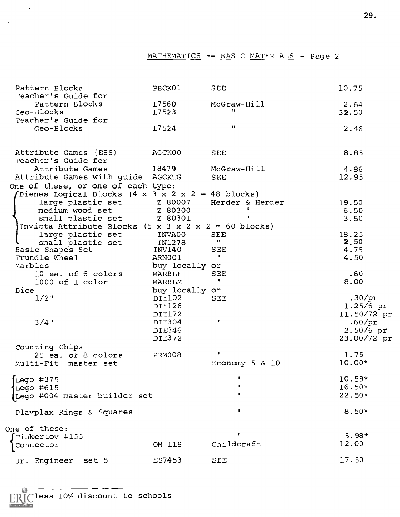| Pattern Blocks                                                     | PBCK01         | <b>SEE</b>        | 10.75       |
|--------------------------------------------------------------------|----------------|-------------------|-------------|
| Teacher's Guide for                                                |                |                   |             |
| Pattern Blocks                                                     | 17560          | McGraw-Hill       | 2.64        |
| Geo-Blocks                                                         | 17523          | $\mathbf{H}$      | 32.50       |
| Teacher's Guide for                                                |                |                   |             |
| Geo-Blocks                                                         | 17524          | $\mathbf{H}$      | 2.46        |
|                                                                    |                |                   |             |
| Attribute Games (ESS)                                              | AGCK00         | <b>SEE</b>        | 8.85        |
| Teacher's Guide for                                                |                |                   |             |
| Attribute Games                                                    | 18479          | McGraw-Hill       | 4.86        |
| Attribute Games with guide AGCKTG                                  |                |                   | 12.95       |
|                                                                    |                | SFE               |             |
| One of these, or one of each type:                                 |                |                   |             |
| Thenes Logical Blocks $(4 \times 3 \times 2 \times 2 = 48$ blocks) |                |                   |             |
| large plastic set                                                  | Z 80007        | Herder & Herder   | 19.50       |
| medium wood set                                                    | Z 80300        | 11                | 6.50        |
| small plastic set                                                  | Z 80301        | $\mathbf{H}$      | 3.50        |
| Invicta Attribute Blocks (5 x 3 x 2 x 2 = 60 blocks)               |                |                   |             |
| large plastic set                                                  | INVA00         | <b>SEE</b>        | 18.25       |
| small plastic set                                                  | IN1278         | $\mathbf{H}$      | 2.50        |
| Basic Shapes Set                                                   | INV140         | <b>SEE</b>        | 4.75        |
| Trundle Wheel                                                      | ARNO01         | $\mathbf{H}$      | 4.50        |
| Marbles                                                            | buy locally or |                   |             |
| 10 ea. of 6 colors                                                 | MARBLE         | SEE               | .60         |
|                                                                    |                | $\mathbf{u}$      |             |
| 1000 of 1 color                                                    | MARBLM         |                   | 8.00        |
| Dice                                                               | buy locally or |                   |             |
| $1/2$ "                                                            | DIE102         | <b>SEE</b>        | .30/pr      |
|                                                                    | DIE126         |                   | $1.25/6$ pr |
|                                                                    | DIE172         |                   | 11.50/72 pr |
| $3/4$ "                                                            | DIE304         | $\mathbf{H}$      | .60/pr      |
|                                                                    | DIE346         |                   | $2.50/6$ pr |
|                                                                    | DIE372         |                   | 23.00/72 pr |
| Counting Chips                                                     |                |                   |             |
| 25 ea. of 8 colors                                                 | <b>PRM008</b>  | $\mathbf H$       | 1.75        |
| Multi-Fit master set                                               |                | Economy $5 \& 10$ | 10.00*      |
|                                                                    |                |                   |             |
| Lego $#375$                                                        |                | $\mathbf{u}$      | $10.59*$    |
| Lego #615                                                          |                | $\mathbf{H}$      | $16.50*$    |
| Lego #004 master builder set                                       |                | $\mathbf{u}$      | 22.50*      |
|                                                                    |                |                   |             |
| Playplax Rings & Squares                                           |                | $\mathbf{u}$      | $8.50*$     |
| One of these:                                                      |                |                   |             |
| Tinkertoy #155                                                     |                | $\mathbf{11}$     | $5.98*$     |
| Connector                                                          | OM 118         | Childcraft        | 12.00       |
|                                                                    |                |                   |             |
| Jr. Engineer<br>set 5                                              | ES7453         | <b>SEE</b>        | 17.50       |
|                                                                    |                |                   |             |

 $\sim$ 

 $\sim$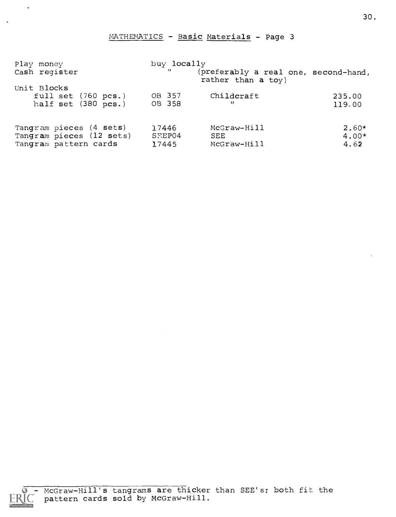# MATHEMATICS - Basic Materials - Page 3

| Play money               | buy locally |                                                            |         |  |
|--------------------------|-------------|------------------------------------------------------------|---------|--|
| Cash register            | -11-        | (preferably a real one, second-hand,<br>rather than a toy) |         |  |
| Unit Blocks              |             |                                                            |         |  |
| full set (760 pcs.)      | OB 357      | Childcraft                                                 | 235.00  |  |
| half set (380 pcs.)      | OB 358      | -11                                                        | 119.00  |  |
| Tangram pieces (4 sets)  | 17446       | McGraw-Hill                                                | $2.60*$ |  |
| Tangram pieces (12 sets) | SEEP04      | SEE                                                        | $4.00*$ |  |
| Tangram pattern cards    | 17445       | McGraw-Hill                                                | 4.62    |  |



 $\hat{\mathbf{a}}$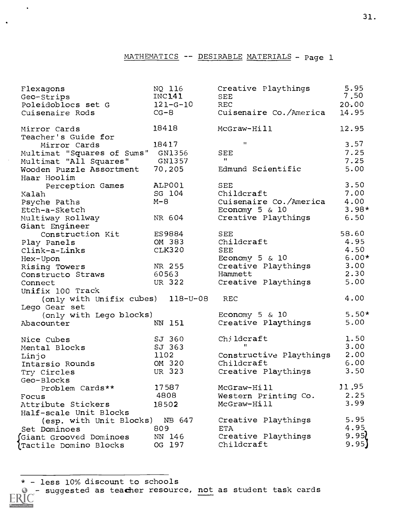## MATHEMATICS -- DESIRABLE MATERIALS - Page 1

| Flexagons                         | NQ 116         | Creative Playthings     | 5.95    |
|-----------------------------------|----------------|-------------------------|---------|
| Geo-Strips                        | INC141         | SEE                     | 7.50    |
| Poleidoblocs set G                | $121 - G - 10$ | <b>REC</b>              | 20.00   |
| Cuisenaire Rods                   | $CG - 8$       | Cuisenaire Co./America  | 14.95   |
| Mirror Cards                      | 18418          | McGraw-Hill             | 12.95   |
| Teacher's Guide for               |                |                         |         |
| Mirror Cards                      | 18417          | $\mathbf{H}$            | 3.57    |
| Multimat "Squares of Sums" GN1356 |                | <b>SEE</b>              | 7.25    |
| Multimat "All Squares" GN1357     |                | $\mathbf{H}$ .          | 7.25    |
| Wooden Puzzle Assortment          | 70,205         | Edmund Scientific       | 5.00    |
| Haar Hoolim                       |                |                         |         |
| Perception Games                  | ALP001         | <b>SEE</b>              | 3.50    |
| Kalah                             | SG 104         | Childcraft              | 7.00    |
| Psyche Paths                      | $M - 8$        | Cuisenaire Co./America  | 4.00    |
| Etch-a-Sketch                     |                | Economy $5 \& 10$       | $3.98*$ |
| Multiway Rollway                  | NR 604         | Creative Playthings     | 6.50    |
| Giant Engineer                    |                |                         |         |
| Construction Kit                  | ES9884         | <b>SEE</b>              | 58.60   |
| Play Panels                       | OM 383         | Childcraft              | 4.95    |
| Clink-a-Links                     | CLK320         | <b>SEE</b>              | 4.50    |
| Hex-Upon                          |                | Economy $5 \approx 10$  | $6.00*$ |
| Rising Towers                     | NR 255         | Creative Playthings     | 3.00    |
| Constructo Straws                 | 60563          | Hammett                 | 2.30    |
| Connect                           | UR 322         | Creative Playthings     | 5.00    |
| Unifix 100 Track                  |                |                         |         |
| (only with Unifix cubes) 118-U-08 |                | <b>REC</b>              | 4.00    |
| Lego Gear set                     |                |                         |         |
| (only with Lego blocks)           |                | Economy $5 \& 10$       | $5.50*$ |
| Abacounter                        | NN 151         | Creative Playthings     | 5.00    |
|                                   |                |                         |         |
| Nice Cubes                        | SJ 360         | Childcraft              | 1.50    |
| Mental Blocks                     | SJ 363         |                         | 3.00    |
| Linjo                             | 1102           | Constructive Playthings | 2.00    |
| Intarsio Rounds                   | OM 320         | Childcraft              | 6.00    |
| Try Circles                       | UR 323         | Creative Playthings     | 3.50    |
| Geo-Blocks                        |                |                         |         |
| Problem Cards**                   | 17587          | McGraw-Hill             | 11.95   |
| Focus                             | 4808           | Western Printing Co.    | 2.25    |
| Attribute Stickers                | 18502          | McGraw-Hill             | 3.99    |
| Half-scale Unit Blocks            |                |                         |         |
| (esp. with Unit Blocks)           | NB 647         | Creative Playthings     | 5.95    |
| Set Dominoes                      | 809            | <b>ETA</b>              | 4.95    |
| Giant Grooved Dominoes            | NN 146         | Creative Playthings     | 9.95    |
| Tactile Domino Blocks             | OG 197         | Childcraft              | 9.95    |
|                                   |                |                         |         |

\* less 10% discount to schools

 $\bullet$ 

- suggested as teacher resource, not as student task cards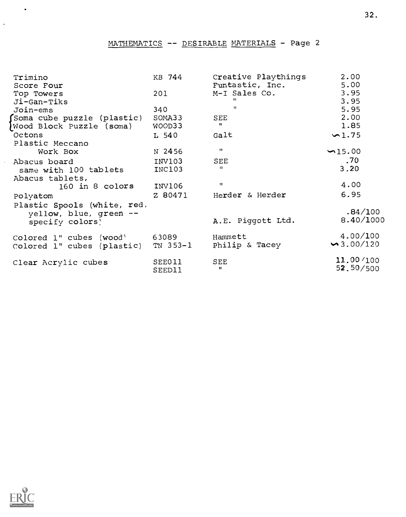# MATHEMATICS -- DESIRABLE MATERIALS - Page 2

|               | Trimino                                            | KB 744           | Creative Playthings | 2.00            |
|---------------|----------------------------------------------------|------------------|---------------------|-----------------|
|               | Score Four                                         |                  | Funtastic, Inc.     | 5.00            |
|               | Top Towers                                         | 201              | M-I Sales Co.       | 3.95            |
|               | $J$ i-Gan-Tiks                                     |                  |                     | 3.95            |
|               | Join-ems                                           | 340              | $\mathbf{H}$        | 5.95            |
|               | Soma cube puzzle (plastic)                         | SOMA33           | SEE                 | 2.00            |
|               | Wood Block Puzzle (soma)                           | WOOD33           | $\mathbf{H}$        | 1.85            |
|               | Octons                                             | L <sub>540</sub> | Galt                | $\sim$ 1.75     |
|               | Plastic Meccano                                    |                  |                     |                 |
|               | Work Box                                           | N 2456           | $\mathbf{H}$        | ~15.00          |
| $\mathcal{L}$ | Abacus board                                       | INV103           | SEE                 | .70             |
|               | same with 100 tablets                              | <b>INC103</b>    | $\mathbf{H}$        | 3.20            |
|               | Abacus tablets,                                    |                  |                     |                 |
|               | 160 in 8 colors                                    | INV106           | $\mathbf{H}$        | 4.00            |
|               | Polyatom                                           | Z 80471          | Herder & Herder     | 6.95            |
|               | Plastic Spools (white, red.                        |                  |                     |                 |
|               | yellow, blue, green --                             |                  |                     | .84/100         |
|               | specify colors)                                    |                  | A.E. Piggott Ltd.   | 8.40/1000       |
|               |                                                    |                  |                     |                 |
|               | Colored 1" cubes (wood) 63089                      |                  | Hammett             | 4.00/100        |
|               | Colored 1" cubes (plastic) TN 353-1 Philip & Tacey |                  |                     | $\sim$ 3.00/120 |
|               |                                                    |                  |                     |                 |
|               | Clear Acrylic cubes                                | SEEO11           | SEE                 | 11.00/100       |
|               |                                                    | SEED11           | Ħ.                  | 52.50/500       |



 $\bullet$  .

 $\hat{\mathcal{A}}$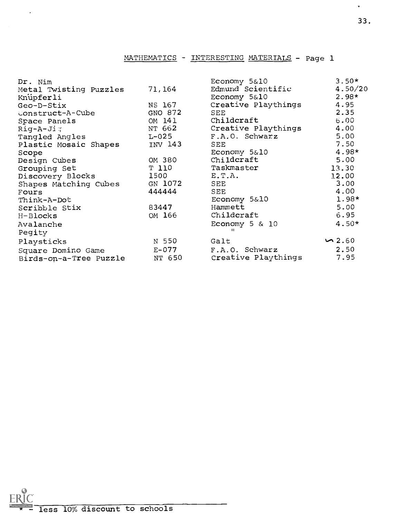# MATHEMATICS - INTERESTING MATERIALS - Page 1

|        | Economy 5&10                                                                                                                                                                                           | $3.50*$                                                                                                                 |
|--------|--------------------------------------------------------------------------------------------------------------------------------------------------------------------------------------------------------|-------------------------------------------------------------------------------------------------------------------------|
|        | Edmund Scientific                                                                                                                                                                                      | 4.50/20                                                                                                                 |
|        | Economy 5&10                                                                                                                                                                                           | $2.98*$                                                                                                                 |
|        |                                                                                                                                                                                                        | 4.95                                                                                                                    |
|        | SEE                                                                                                                                                                                                    | 2.35                                                                                                                    |
|        | Childcraft                                                                                                                                                                                             | 6.00                                                                                                                    |
|        |                                                                                                                                                                                                        | 4.00                                                                                                                    |
|        |                                                                                                                                                                                                        | 5.00                                                                                                                    |
|        | <b>SEE</b>                                                                                                                                                                                             | 7.50                                                                                                                    |
|        | Economy 5&10                                                                                                                                                                                           | $4.98*$                                                                                                                 |
|        | Childcraft                                                                                                                                                                                             | 5.00                                                                                                                    |
|        | Taskmaster                                                                                                                                                                                             | 13.30                                                                                                                   |
|        |                                                                                                                                                                                                        | 12.00                                                                                                                   |
|        | SEE                                                                                                                                                                                                    | 3.00                                                                                                                    |
| 444444 | SEE                                                                                                                                                                                                    | 4.00                                                                                                                    |
|        | Economy 5&10                                                                                                                                                                                           | $1.98*$                                                                                                                 |
|        | Hammett                                                                                                                                                                                                | 5.00                                                                                                                    |
| OM 166 | Childcraft                                                                                                                                                                                             | 6.95                                                                                                                    |
|        | Economy $5 \& 10$                                                                                                                                                                                      | $4.50*$                                                                                                                 |
|        | П                                                                                                                                                                                                      |                                                                                                                         |
| N 550  |                                                                                                                                                                                                        | $\sim 2.60$                                                                                                             |
|        |                                                                                                                                                                                                        | 2.50                                                                                                                    |
| NT 650 |                                                                                                                                                                                                        | 7.95                                                                                                                    |
|        | Metal Twisting Puzzles 71,164<br>NS 167<br>GNO 872<br>OM 141<br>NT 662<br>$L-025$<br>INV 143<br>OM 380<br>T 110<br>1500<br>Shapes Matching Cubes GN 1072<br>83447<br>$E-077$<br>Birds-on-a-Tree Puzzle | Creative Playthings<br>Creative Playthings<br>F.A.O. Schwarz<br>E.T.A.<br>Galt<br>F.A.O. Schwarz<br>Creative Playthings |

33.

 $\mathbf{v}^{(i)}$ 

 $\sim 10^{-1}$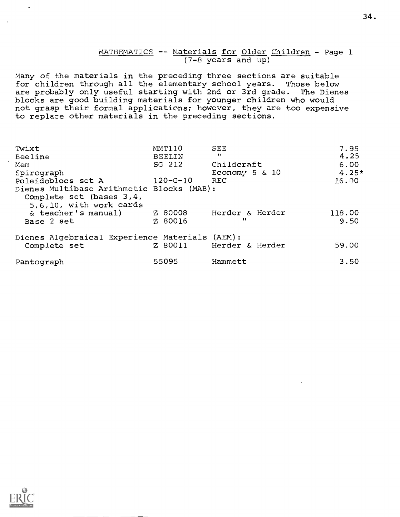#### MATHEMATICS -- Materials for Older Children - Page 1 (7-8 years and up)

Many of the materials in the preceding three sections are suitable for children through all the elementary school years. Those below are probably only useful starting with 2nd or 3rd grade. The Dienes blocks are good building materials for younger children who would not grasp their formal applications; however, they are too expensive to replace other materials in the preceding sections.

| Twixt                                          | MMT110        | <b>SEE</b>              | 7.95    |
|------------------------------------------------|---------------|-------------------------|---------|
| Beeline                                        | <b>BEELIN</b> | $\mathbf{H}$            | 4.25    |
| Mem                                            | SG 212        | Childcraft              | 6.00    |
| Spirograph                                     |               | Economy $5 \& 10$       | $4.25*$ |
| Poleidoblocs set A                             | 120-G-10      | REC                     | 16.00   |
| Dienes Multibase Arithmetic Blocks (MAB):      |               |                         |         |
| Complete set (bases 3,4,                       |               |                         |         |
| 5,6,10, with work cards                        |               |                         |         |
| & teacher's manual)                            | Z 80008       | Herder & Herder         | 118.00  |
| Base 2 set                                     | Z 80016       | u                       | 9.50    |
| Dienes Algebraical Experience Materials (AEM): |               |                         |         |
| Complete set                                   |               | Z 80011 Herder & Herder | 59.00   |
| Pantograph                                     | 55095         | Hammett                 | 3.50    |

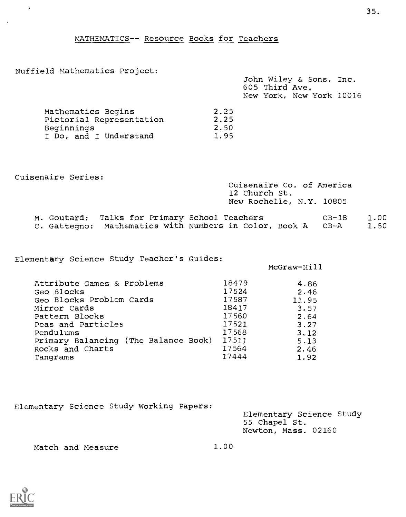Nuffield Mathematics Project: Mathematics Begins 2.25<br>Pictorial Representation 2.25 Pictorial Representation 2.25<br>Beginnings 2.50 John Wiley & Sons, Inc. 605 Third Ave. New York, New York 10016

Beginnings 2.50<br>
I Do, and I Understand 1.95 I Do, and I Understand

Cuisenaire Series:

 $\bullet$ 

Cuisenaire Co. of America 12 Church St. New Rochelle, N.Y. 10805

M. Goutard: Talks for Primary School Teachers CB-18 1.00<br>C. Gattegno: Mathematics with Numbers in Color, Book A CB-A 1.50 C. Gattegno: Mathematics with Numbers in Color, Book A 608-A

Elementary Science Study Teacher's Guides:

McGraw-Hill

| 18479 | 4.86  |
|-------|-------|
| 17524 | 2.46  |
| 17587 | 11.95 |
| 18417 | 3.57  |
| 17560 | 2.64  |
| 17521 | 3.27  |
| 17568 | 3.12  |
| 17511 | 5.13  |
| 17564 | 2,46  |
| 17444 | 1.92  |
|       |       |

Elementary Science Study Working Papers:

Elementary Science Study 55 Chapel St. Newton, Mass. 02160

Match and Measure 1.00

35.

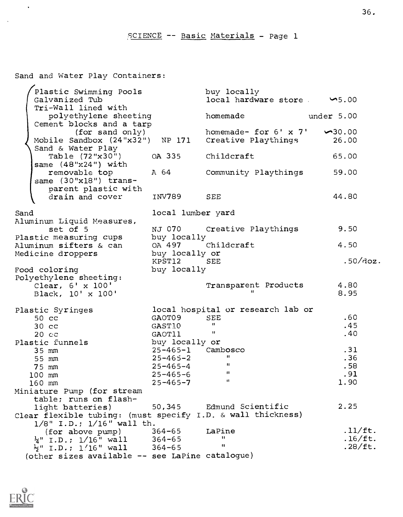# SCIENCE -- Basic Materials - Page 1

Sand and Water Play Containers:

 $\sim$ 

 $\langle \cdot \rangle$ 

| Plastic Swimming Pools buy locally                                                                                                                                              |                                  |                                                           |             |
|---------------------------------------------------------------------------------------------------------------------------------------------------------------------------------|----------------------------------|-----------------------------------------------------------|-------------|
| Galvanized Tub                                                                                                                                                                  |                                  | local hardware store 5.00                                 |             |
| Tri-Wall lined with                                                                                                                                                             |                                  |                                                           |             |
|                                                                                                                                                                                 |                                  | polyethylene sheeting bomemade bomemade under 5.00        |             |
| Cement blocks and a tarp                                                                                                                                                        |                                  |                                                           |             |
|                                                                                                                                                                                 |                                  | (for sand only) bomemade- for $6' \times 7'$ $\sim$ 30.00 |             |
| Mobile Sandbox (24"x32") NP 171 Creative Playthings                                                                                                                             |                                  |                                                           | 26.00       |
| Sand & Water Play                                                                                                                                                               |                                  |                                                           |             |
| Table $(72" \times 30"$ OA 335                                                                                                                                                  |                                  | Childcraft                                                | 65.00       |
| same $(48"x24")$ with                                                                                                                                                           |                                  |                                                           |             |
|                                                                                                                                                                                 |                                  | removable top A 64 Community Playthings 59.00             |             |
| same $(30"x18")$ trans-                                                                                                                                                         |                                  |                                                           |             |
| parent plastic with                                                                                                                                                             |                                  |                                                           |             |
| drain and cover                                                                                                                                                                 | INV789                           | <b>SEE</b>                                                | 44.80       |
|                                                                                                                                                                                 |                                  |                                                           |             |
| Sand                                                                                                                                                                            | local lumber yard                |                                                           |             |
| Aluminum Liquid Measures,<br>set of 5                                                                                                                                           |                                  | NJ 070 Creative Playthings                                | 9.50        |
| Set of 5<br>Plastic measuring cups<br>Aluminum sifters & can<br>Medicine droppers<br>Medicine droppers<br>Medicine droppers<br>SEE<br>Medicine droppers<br>SEE<br>Negri2<br>SEE |                                  |                                                           |             |
|                                                                                                                                                                                 |                                  |                                                           | 4.50        |
|                                                                                                                                                                                 |                                  |                                                           |             |
|                                                                                                                                                                                 |                                  |                                                           | $.50$ /doz. |
| Food coloring                                                                                                                                                                   | buy locally                      |                                                           |             |
| Polyethylene sheeting:                                                                                                                                                          |                                  |                                                           |             |
| Clear, $6' \times 100'$                                                                                                                                                         |                                  | Transparent Products                                      | 4.80        |
| Black, 10' x 100'                                                                                                                                                               |                                  |                                                           | 8.95        |
|                                                                                                                                                                                 |                                  |                                                           |             |
| Plastic Syringes                                                                                                                                                                |                                  | local hospital or research lab or                         |             |
| 50 cc                                                                                                                                                                           | GAOTO9 SEE                       |                                                           | .60         |
| $30 \text{ cc}$                                                                                                                                                                 | GAST10                           | H                                                         | .45         |
| $20 \text{ cc}$                                                                                                                                                                 | GAOT11 "                         |                                                           | .40         |
| Plastic funnels buy locally or                                                                                                                                                  |                                  |                                                           |             |
| $35$ mm                                                                                                                                                                         | $25-465-1$ Cambosco              |                                                           | .31         |
| 55 mm                                                                                                                                                                           |                                  | $\mathbf{H}$                                              | .36         |
| <b>75 mm</b>                                                                                                                                                                    |                                  | $\mathbf{H}$                                              | .58         |
| 100 mm                                                                                                                                                                          | 25-465-2<br>25-465-4<br>25-465-6 | $\sim 10^{\circ}$                                         | .91         |
| 160 mm                                                                                                                                                                          | $25 - 465 - 7$                   | $\mathbf{H}$                                              | 1.90        |
| Miniature Pump (for stream                                                                                                                                                      |                                  |                                                           |             |
| table; runs on flash-                                                                                                                                                           |                                  |                                                           |             |
| light batteries)                                                                                                                                                                |                                  | 50,345 Edmund Scientific                                  | 2.25        |
| Clear flexible tubing: (must specify I.D. & wall thickness)                                                                                                                     |                                  |                                                           |             |
| $1/8$ " I.D.; $1/16$ " wall th.                                                                                                                                                 |                                  |                                                           |             |
| (for above pump)                                                                                                                                                                | $364 - 65$                       | LaPine                                                    | .11/ft.     |
| $\frac{1}{4}$ " I.D.; 1/16" wall                                                                                                                                                | $364 - 65$                       | $\mathbf{H}$                                              | .16/ft.     |
| $\frac{1}{2}$ " I.D.; 1/16" wall                                                                                                                                                | $364 - 65$                       | $\mathbf{u}$                                              | .28/ft.     |
| (other sizes available -- see LaPine catalogue)                                                                                                                                 |                                  |                                                           |             |

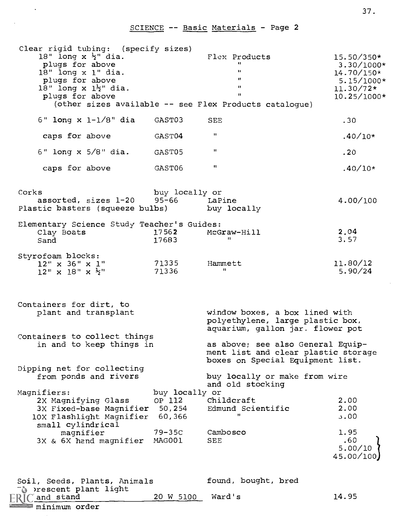$\mathcal{L}^{\text{max}}_{\text{max}}$ 

 $\mathcal{L}^{\text{max}}_{\text{max}}$ 

| Clear rigid tubing: (specify sizes)             |                      |                                                                                                              |                  |
|-------------------------------------------------|----------------------|--------------------------------------------------------------------------------------------------------------|------------------|
| 18" long $x \frac{1}{2}$ " dia.                 |                      | Flex Products                                                                                                | $15.50/350*$     |
| plugs for above                                 |                      | 11                                                                                                           | $3.30/1000*$     |
| $18"$ long x $1"$ dia.                          |                      | $\mathbf{H}$                                                                                                 | 14.70/150*       |
| plugs for above                                 |                      | $\mathbf{H}$                                                                                                 | $5.15/1000*$     |
| 18" long x $1\frac{1}{2}$ " dia.                |                      | $\mathbf{H}$<br>$\mathbf{H}$                                                                                 | $11.30/72*$      |
| plugs for above                                 |                      |                                                                                                              | 10.25/1000*      |
|                                                 |                      | (other sizes available -- see Flex Products cataloque)                                                       |                  |
| 6" long x $1 - 1/8$ " dia                       | GAST03               | <b>SEE</b>                                                                                                   | .30 <sub>1</sub> |
| caps for above                                  | GAST04               | 11 <sub>1</sub>                                                                                              | $.40/10*$        |
| $6"$ long x $5/8"$ dia.                         | GAST05               | $\mathbf{H}$                                                                                                 | $.20 \,$         |
|                                                 |                      |                                                                                                              |                  |
| caps for above                                  | GAST06               | $\mathbf{u}$                                                                                                 | $.40/10*$        |
| Corks                                           | buy locally or       |                                                                                                              |                  |
| assorted, sizes 1-20 95-66                      |                      | LaPine                                                                                                       | 4.00/100         |
| Plastic basters (squeeze bulbs) buy locally     |                      |                                                                                                              |                  |
|                                                 |                      |                                                                                                              |                  |
| Elementary Science Study Teacher's Guides:      |                      |                                                                                                              |                  |
| Clay Boats                                      | 17562<br>17683       | McGraw-Hill                                                                                                  | 2.04<br>3,57     |
| Sand                                            |                      |                                                                                                              |                  |
| Styrofoam blocks:                               |                      |                                                                                                              |                  |
| $12" \times 36" \times 1"$                      | 71335                | Hammett                                                                                                      | 11.80/12         |
| $12'' \times 18'' \times \frac{1}{2}''$         | 71336                | $\mathbf{H}$                                                                                                 | 5.90/24          |
| Containers for dirt, to<br>plant and transplant |                      | window boxes, a box lined with<br>polyethylene, large plastic box,<br>aquarium, gallon jar. flower pot       |                  |
| Containers to collect things                    |                      |                                                                                                              |                  |
| in and to keep things in                        |                      | as above; see also General Equip-<br>ment list and clear plastic storage<br>boxes on Special Equipment list. |                  |
| Dipping net for collecting                      |                      |                                                                                                              |                  |
| from ponds and rivers                           |                      | buy locally or make from wire<br>and old stocking                                                            |                  |
| Magnifiers:                                     | buy locally or       |                                                                                                              |                  |
| 2X Magnifying Glass                             | OP 112               | Childcraft                                                                                                   | 2.00             |
| 3X Fixed-base Magnifier                         | 50,254               | Edmund Scientific                                                                                            | 2.00             |
| 10X Flashlight Magnifier                        | 60,366               | $\mathbf{H}$                                                                                                 | 3.00             |
| small cylindrical                               |                      |                                                                                                              |                  |
| magnifier                                       | $79 - 35C$<br>MAG001 | Cambosco                                                                                                     | 1.95<br>.60      |
| 3X & 6X hand magnifier                          |                      | SEE                                                                                                          | 5.00/10          |
|                                                 |                      |                                                                                                              | 45.00/100        |
|                                                 |                      |                                                                                                              |                  |
|                                                 |                      |                                                                                                              |                  |
| Soil, Seeds, Plants, Animals                    |                      | found, bought, bred                                                                                          |                  |
| To prescent plant light<br>and stand            | 20 W 5100            | Ward's                                                                                                       | 14.95            |
| minimum order                                   |                      |                                                                                                              |                  |
|                                                 |                      |                                                                                                              |                  |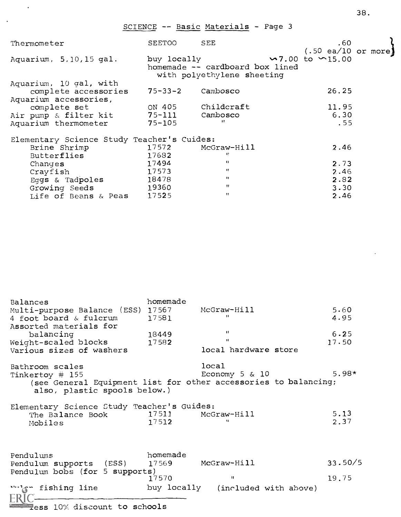# SCIENCE -- Basic Materials - Page 3

| Thermometer                                | <b>SEETOO</b>     | SEE                                                           | .60                                   |  |
|--------------------------------------------|-------------------|---------------------------------------------------------------|---------------------------------------|--|
|                                            |                   |                                                               | $(.50 \text{ ea}/10 \text{ or more})$ |  |
| Aquarium, 5, 10, 15 gal.                   | buy locally       |                                                               | $\sim$ 7.00 to $\sim$ 15.00           |  |
|                                            |                   | homemade -- cardboard box lined<br>with polyethylene sheeting |                                       |  |
| Aquarium, 10 gal, with                     |                   |                                                               |                                       |  |
| complete accessories                       | $75 - 33 - 2$     | Cambosco                                                      | 26.25                                 |  |
| Aquarium accessories,                      |                   |                                                               |                                       |  |
| complete set                               | ON 405 Childcraft |                                                               | 11.95                                 |  |
| Air pump & filter kit                      | $75 - 111$        | Cambosco                                                      | 6.30                                  |  |
| Aquarium thermometer                       | $75 - 105$        | $\blacksquare$                                                | .55                                   |  |
| Elementary Science Study Teacher's Cuides: |                   |                                                               |                                       |  |
| Brine Shrimp                               | 17572             | $McGraw-Hi11$                                                 | 2.46                                  |  |
| Butterflies                                | 17682             | $\mathbf{H}$                                                  |                                       |  |
| Changes                                    | 17494             | $\mathbf{u}$                                                  | 2.73                                  |  |
| Crayfish                                   | 17573             | $\mathbf{H}$                                                  | 2.46                                  |  |
| Eqgs & Tadpoles                            | 18478             | 11                                                            | 2.82                                  |  |
| Growing Seeds                              | 19360             | 11                                                            | 3.30                                  |  |
| Life of Beans & Peas                       | 17525             | $\mathbf{H}$                                                  | 2.46                                  |  |

| Balances                                      | homemade |                                                                 |         |
|-----------------------------------------------|----------|-----------------------------------------------------------------|---------|
| Multi-purpose Balance (ESS) 17567 McGraw-Hill |          | $\mathbf{H}$                                                    | 5.60    |
| 4 foot board & fulcrum 17581                  |          |                                                                 | 4.95    |
| Assorted materials for                        |          |                                                                 |         |
| balancing                                     | 18449    | $\mathbf{H}$                                                    | 6.25    |
| Weight-scaled blocks                          | 17582    | $\mathbf{H}$                                                    | 17.50   |
| Various sizes of washers                      |          | local hardware store                                            |         |
| Bathroom scales                               |          | local                                                           |         |
| Tinkertoy $#$ 155                             |          | Economy $5 \& 10$                                               | $5.98*$ |
| also, plastic spools below.)                  |          | (see General Equipment list for other accessories to balancing; |         |
| Elementary Science Study Teacher's Guides:    |          |                                                                 |         |
| The Balance Book 17511 McGraw-Hill            |          |                                                                 | 5.13    |
| Mobiles                                       | 17512    | $\mathbf{H}$                                                    | 2.37    |
|                                               |          |                                                                 |         |
| Pendulums                                     | homemade |                                                                 |         |
| Pendulum supports (ESS) 17569 McGraw-Hill     |          |                                                                 | 33.50/5 |
| Pendulum bobs (for 5 supports)                |          |                                                                 |         |
|                                               | 17570    | $\mathbf{H}$                                                    | 19.75   |
| wilso fishing line<br>$\Gamma \Gamma \Gamma$  |          | buy locally (included with above)                               |         |

ERIC-RESERVIER CONSISTENT LABOR.

 $\sim$ 

 $\mathcal{A}$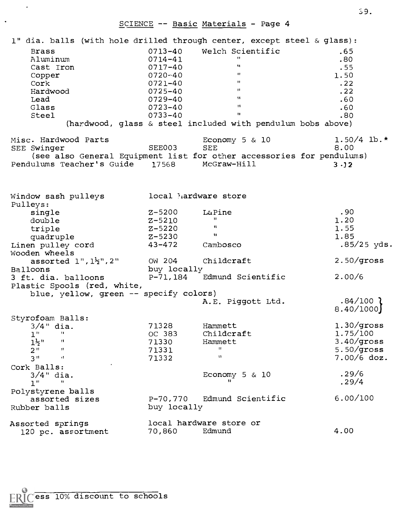| 1" dia. balls (with hole drilled through center, except steel & glass): |                  |                                                                       |               |
|-------------------------------------------------------------------------|------------------|-----------------------------------------------------------------------|---------------|
| <b>Brass</b>                                                            |                  | 0713-40 Welch Scientific                                              | .65           |
| Aluminum                                                                | $0714 - 41$      | $\mathbf{H}$                                                          | .80           |
| Cast Iron                                                               | 0717-40          | $\mathbf{W}$                                                          | .55           |
| Copper                                                                  | 0720-40          | $\mathbf{H}$                                                          | 1.50          |
| Cork                                                                    | $0721 - 40$      | 11                                                                    | .22           |
| Hardwood                                                                | 0725-40          | $\mathbf{H}$                                                          | .22           |
|                                                                         |                  | $\boldsymbol{\Omega}$                                                 |               |
| Lead                                                                    | 0729-40          | $\blacksquare$                                                        | .60           |
| Glass                                                                   | 0723-40          | $\mathbf{H}$                                                          | .60           |
| Steel                                                                   | 0733-40          |                                                                       | .80           |
|                                                                         |                  | (hardwood, glass & steel included with pendulum bobs above)           |               |
| Misc. Hardwood Parts                                                    |                  | Economy $5 \approx 10$                                                | $1.50/4$ lb.* |
| SEE Swinger                                                             | SEE003           | <b>SEE</b>                                                            | 8.00          |
|                                                                         |                  | (see also General Equipment list for other accessories for pendulums) |               |
| Pendulums Teacher's Guide 17568 McGraw-Hill                             |                  |                                                                       | 3.12          |
|                                                                         |                  |                                                                       |               |
|                                                                         |                  |                                                                       |               |
| Window sash pulleys local hardware store                                |                  |                                                                       |               |
| Pulleys:                                                                |                  |                                                                       |               |
| single                                                                  | z-5200           | LaPine                                                                | .90           |
| double                                                                  | $Z - 5210$       | $\mathbf{H}$                                                          | 1.20          |
| triple                                                                  |                  | $\mathbf{H}$ .                                                        | 1.55          |
| quadruple                                                               | z-5220<br>z-5230 | $\mathbf{H}$                                                          | 1.85          |
|                                                                         | 43-472           | Cambosco                                                              | $.85/25$ yds. |
| Linen pulley cord                                                       |                  |                                                                       |               |
| Wooden wheels                                                           |                  |                                                                       |               |
| assorted $1", 1\frac{1}{2}"$ , 2" OW 204                                |                  | Childcraft                                                            | 2.50/gross    |
| Balloons                                                                |                  | buy locally<br>P-71,184   Edmund Scientific                           |               |
| 3 ft. dia. balloons                                                     |                  |                                                                       | 2.00/6        |
| Plastic Spools (red, white,                                             |                  |                                                                       |               |
| blue, yellow, green -- specify colors)                                  |                  |                                                                       |               |
|                                                                         |                  | A.E. Piggott Ltd.                                                     | $.84/100$ l   |
|                                                                         |                  |                                                                       | 8.40/1000     |
| Styrofoam Balls:                                                        |                  |                                                                       |               |
| $3/4$ " dia.                                                            | 71328            | Hammett                                                               | 1.30/gross    |
| $\mathbf{H}$<br>1"                                                      | OC 383           | Childcraft                                                            | 1.75/100      |
| $1\frac{1}{2}$ "<br>$\mathbf{H}$                                        | 71330 Hammett    |                                                                       | 3.40/gross    |
| $2n$ $n$                                                                | 71331            | $\mathbf{H}$                                                          | 5.50/gross    |
| 3 <sup>11</sup><br>H.                                                   | 71332            | $\mathbf{H}$                                                          | $7.00/6$ doz. |
| Cork Balls:                                                             |                  |                                                                       |               |
| $3/4"$ dia.                                                             |                  | Economy $5 \& 10$                                                     | .29/6         |
| 1"<br>$\mathbf{H}$                                                      |                  | $\mathbf{H}$                                                          | .29/4         |
|                                                                         |                  |                                                                       |               |
| Polystyrene balls                                                       |                  |                                                                       | 6.00/100      |
| assorted sizes                                                          |                  | P-70,770 Edmund Scientific                                            |               |
| Rubber balls                                                            | buy locally      |                                                                       |               |
| Assorted springs                                                        |                  | local hardware store or                                               |               |
| 120 pc. assortment                                                      | 70,860           | Edmund                                                                | 4.00          |
|                                                                         |                  |                                                                       |               |

 $\sim$ 

 $\langle \rangle$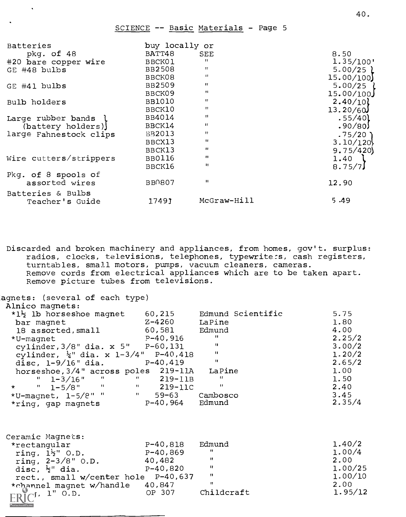### SCIENCE -- Basic Materials - Page 5

 $\ddot{\phantom{0}}$ 

| <b>Batteries</b>       | buy locally or |                |            |
|------------------------|----------------|----------------|------------|
| pkg. of 48             | BATT48         | SEE            | 8.50       |
| #20 bare copper wire   | <b>BBCKO1</b>  | $\blacksquare$ | 1.35/100'  |
| GE #48 bulbs           | <b>BB2508</b>  | $\mathbf{H}$   | 5.00/25    |
|                        | BBCK08         | $\mathbf{H}$   | 15.00/100  |
| GE #41 bulbs           | <b>BB2509</b>  | $\mathbf{H}$   | 5.00/25    |
|                        | BBCK09         | $\mathbf{H}$   | 15.00/100  |
| Bulb holders           | <b>BB1010</b>  | $\mathbf{H}$   | 2.40/10    |
|                        | BBCK10         | $\mathbf{H}$   | 13.20/60   |
| Large rubber bands     | BB4014         | $\mathbf{H}$   | .55/40     |
| (battery holders)      | BBCK14         | $\mathbf{H}$   | .90/80     |
| large Fahnestock clips | <b>BB2013</b>  | $\mathbf{H}$   | $.75/20$ ) |
|                        | BBCX13         | $\mathbf{H}$   | 3.10/120   |
|                        | BBCK13         | $\mathbf{H}$   | 9.75/420   |
| Wire cutters/strippers | BB0116         | $\mathbf{H}$   | 1.40       |
|                        | BBCK16         | $\mathbf{H}$   | 8.75/7     |
| Pkg. of 8 spools of    |                |                |            |
| assorted wires         | <b>BB0807</b>  | $\mathbf{H}$   | 12.90      |
| Batteries & Bulbs      |                |                |            |
| Teacher's Guide        | 17491          | McGraw-Hill    | 5.49       |

Discarded and broken machinery and appliances, from homes, gov't. surplus: radios, clocks, televisions, telephones, typewrite:s, cash registers, turntables, small motors, pumps, vacuum cleaners, cameras. Remove cords from electrical appliances which are to be taken apart. Remove picture tubes from televisions.

| agnets: (several of each type)<br>Alnico magnets:                                  |            |                    |        |
|------------------------------------------------------------------------------------|------------|--------------------|--------|
| $*1\frac{1}{2}$ lb horseshoe magnet                                                | 60,215     | Edmund Scientific  | 5.75   |
| bar magnet                                                                         | Z-4260     | LaPine             | 1.80   |
| 18 assorted, small                                                                 | 60,581     | Edmund             | 4.00   |
| *U-magnet                                                                          | $P-40,916$ |                    | 2.25/2 |
| cylinder, $3/8$ " dia. $x 5$ " P-60, 131                                           |            | $\pmb{\mathsf{H}}$ | 3.00/2 |
| cylinder, $\frac{1}{4}$ " dia. x 1-3/4" P-40,418                                   |            | $\mathbf{H}$       | 1.20/2 |
| disc, $1-9/16$ " dia. $P-40,419$                                                   |            | $\mathbf{H}$       | 2.65/2 |
| horseshoe, 3/4" across poles 219-11A                                               |            | LaPine             | 1.00   |
| $" 1-3/16"  "  "  "$                                                               | $219-11B$  | - 11               | 1.50   |
| $\frac{1}{2}$ 1-5/8" $\frac{1}{2}$<br><b>Contract Contract District</b><br>$\star$ | 219-11C    | $\mathbf{H}$       | 2.40   |
| $\mathcal{L}_{\rm{max}}$ and $\mathcal{L}_{\rm{max}}$<br>*U-magnet, 1-5/8" "       | 59-63      | Cambosco           | 3.45   |
| *ring, gap magnets                                                                 | $P-40,964$ | Edmund             | 2.35/4 |
|                                                                                    |            |                    |        |

| Ceramic Magnets:                    |            |                |         |
|-------------------------------------|------------|----------------|---------|
| *rectangular                        | $P-40,818$ | Edmund         | 1.40/2  |
| ring, $1\frac{1}{2}$ " O.D.         | $P-40,869$ | $\mathbf{H}$   | 1.00/4  |
| ring, $2-3/8"$ 0.D.                 | 40,482     | $\mathbf{H}$   | 2.00    |
| disc, $\frac{1}{2}$ " dia.          | P-40,820   | 11             | 1.00/25 |
| rect., small w/center hole P-40,637 |            | $\blacksquare$ | 1.00/10 |
| *channel magnet w/handle            | 40,847     | n              | 2.00    |
| $FRIC1$ , 1" O.D.                   | OP 307     | Childcraft     | 1.95/12 |
|                                     |            |                |         |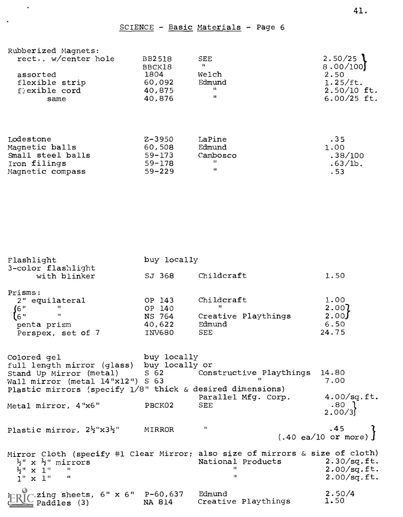# SCIENCE - Basic Materials - Page 6

 $\sim$   $\sim$ 

 $\mathcal{L}_{\mathbf{A}}$ 

| Rubberized Magnets:  |                         |                     |                     |
|----------------------|-------------------------|---------------------|---------------------|
| rect., w/center hole | <b>BB2518</b><br>BBCK18 | SEE<br>$\mathbf{H}$ | 2.50/25<br>8.00/100 |
| assorted             | 1804                    | Welch               | 2.50                |
| flexible strip       | 60,092                  | Edmund              | 1.25/ft.            |
| flexible cord        | 40,875                  | $\mathbf{u}$        | $2.50/10$ ft.       |
| same                 | 40,876                  | $\mathbf{u}$        | $6.00/25$ ft.       |
|                      |                         |                     |                     |
| Lodestone            | $Z - 3950$              | LaPine              | .35                 |
| Magnetic balls       | 60,508                  | Edmund              | 1.00                |
| Small steel balls    | $59 - 173$              | Cambosco            | .38/100             |
| Iron filings         | $59 - 178$              | $^{\prime\prime}$   | .63/lb.             |
| Magnetic compass     | $59 - 229$              | $\mathbf{H}$        | .53                 |

| Flashlight<br>3-color flashlight                                                                                                                                                                                                                  | buy locally                          |                                                                                  |                                                                  |
|---------------------------------------------------------------------------------------------------------------------------------------------------------------------------------------------------------------------------------------------------|--------------------------------------|----------------------------------------------------------------------------------|------------------------------------------------------------------|
| with blinker                                                                                                                                                                                                                                      | SJ 368                               | Childcraft                                                                       | 1.50                                                             |
| Prisms:<br>2" equilateral<br>$\bullet$<br>∫6"<br>(6"<br>$\mathbf{H}$<br>penta prism<br>Perspex, set of 7                                                                                                                                          | OP 143<br>OP 140<br>40,622<br>INV680 | Childcraft<br>$\mathbf{H}$<br>NS 764 Creative Playthings<br>Edmund<br><b>SEE</b> | 1.00<br>2.001<br>2.00<br>6.50<br>24.75                           |
| Colored gel<br>full length mirror (glass) buy locally or<br>Stand Up Mirror (metal) S 62 Constructive Playthings 14.80<br>Wall mirror (metal 14"x12") S 63<br>Plastic mirrors (specify $1/8$ " thick & desired dimensions)<br>Metal mirror, 4"x6" | buy locally<br>PBCK02                | Parallel Mfg. Corp.<br><b>SEE</b>                                                | 7.00<br>$4.00/\text{sq}$ .ft.<br>.80 l<br>2.00/3                 |
| Plastic mirror, $2\frac{1}{2}$ "x3 $\frac{1}{2}$ "                                                                                                                                                                                                | MIRROR                               | $\mathbf{H}$                                                                     | (.40 ea/10 or more) $\}$                                         |
| Mirror Cloth (specify #1 Clear Mirror; also size of mirrors & size of cloth)<br>$\frac{1}{2}$ " x $\frac{1}{2}$ " mirrors<br>$\frac{1}{2}$ " x 1"<br>$\mathbf{H}$<br>$1$ " x $1$ " = "                                                            |                                      | National Products<br>$\mathbf{u}$<br>$\mathbf{H}$                                | $2.30/sq.$ ft.<br>$2.00/\text{sq.fit.}$<br>$2.00/\text{sq.fit.}$ |
| -zing sheets, 6" x 6" P-60,637 Edmund<br>{Paddles (3) NA 814 Creativ                                                                                                                                                                              |                                      | NA 814 Creative Playthings                                                       | 2.50/4<br>1.50                                                   |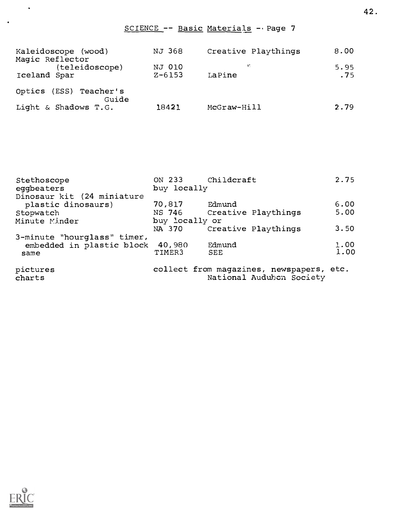# SCIENCE -- Basic Materials - Page 7

| Kaleidoscope (wood)<br>Magic Reflector | NJ 368     | Creative Playthings | 8.00 |
|----------------------------------------|------------|---------------------|------|
| (teleidoscope)                         | NJ 010     | m.                  | 5.95 |
| Iceland Spar                           | $Z - 6153$ | LaPine              | .75  |
| Optics (ESS) Teacher's<br>Guide        |            |                     |      |
| Light & Shadows T.G.                   | 18421      | McGraw-Hill         | 2.79 |

| Stethoscope<br>eggbeaters<br>Dinosaur kit (24 miniature | ON 233<br>buy locally | Childcraft                                                           | 2.75 |
|---------------------------------------------------------|-----------------------|----------------------------------------------------------------------|------|
| plastic dinosaurs)                                      | 70,817                | Edmund                                                               | 6.00 |
| Stopwatch                                               | NS 746                | Creative Playthings                                                  | 5.00 |
| Minute Minder                                           | buy locally or        |                                                                      |      |
|                                                         | NA 370                | Creative Playthings                                                  | 3.50 |
| 3-minute "hourglass" timer,                             |                       |                                                                      |      |
| embedded in plastic block 40,980                        |                       | Edmund                                                               | 1.00 |
| same                                                    | TIMER3                | <b>SEE</b>                                                           | 1.00 |
|                                                         |                       |                                                                      |      |
| pictures<br>charts                                      |                       | collect from magazines, newspapers, etc.<br>National Audubon Society |      |

 $\sim$   $\sim$ 

 $\sim$   $\sim$ 

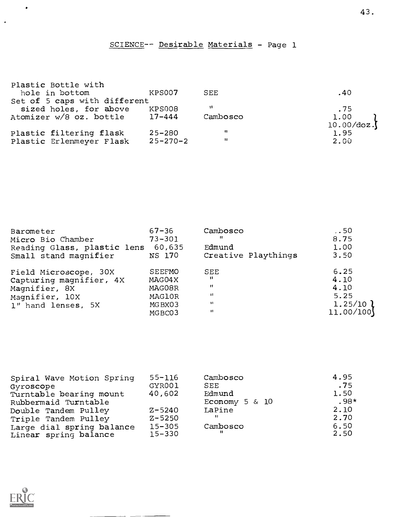# SCIENCE-- Desirable Materials - Page 1

| KPS007                       | <b>SEE</b>   | .40                   |
|------------------------------|--------------|-----------------------|
| Set of 5 caps with different |              |                       |
| KPS008                       | -11          | .75                   |
| $17 - 444$                   | Cambosco     | 1.00<br>$10.00/doz$ . |
| $25 - 280$                   | $\mathbf{u}$ | 1.95                  |
| $25 - 270 - 2$               | $\mathbf{H}$ | 2.00                  |
|                              |              |                       |

| Barometer<br>Micro Bio Chamber<br>Reading Glass, plastic lens 60,635<br>Small stand magnifier | $67 - 36$<br>$73 - 301$<br>NS 170 | Cambosco<br>$\mathbf{H}$<br>Edmund<br>Creative Playthings | .50<br>8.75<br>1.00<br>3.50  |
|-----------------------------------------------------------------------------------------------|-----------------------------------|-----------------------------------------------------------|------------------------------|
| Field Microscope, 30X<br>Capturing magnifier, 4X<br>Magnifier, 8X                             | <b>SEEFMO</b><br>MAG04X<br>MAG08R | SEE<br>$\mathbf{11}$<br>11<br>$\mathbf{H}$                | 6.25<br>4.10<br>4.10<br>5.25 |
| Magnifier, 10X<br>1" hand lenses, 5X                                                          | MAG10R<br>MG BX03<br>MGBC03       | $\mathbf{11}$<br>$\mathbf{H}$                             | $1.25/10$ l<br>11.00/100     |

| Spiral Wave Motion Spring<br>Gyroscope<br>Turntable bearing mount<br>Rubbermaid Turntable          | $55 - 116$<br>GYR001<br>40,602                       | Cambosco<br>SEE<br>Edmund<br>Economy $5 \& 10$ | 4.95<br>.75<br>1.50<br>$.98*$ |
|----------------------------------------------------------------------------------------------------|------------------------------------------------------|------------------------------------------------|-------------------------------|
| Double Tandem Pulley<br>Triple Tandem Pulley<br>Large dial spring balance<br>Linear spring balance | $Z - 5240$<br>$Z - 5250$<br>$15 - 305$<br>$15 - 330$ | LaPine<br>.,<br>Cambosco                       | 2.10<br>2.70<br>6.50<br>2.50  |



 $\bullet$ 

 $\ddot{\phantom{a}}$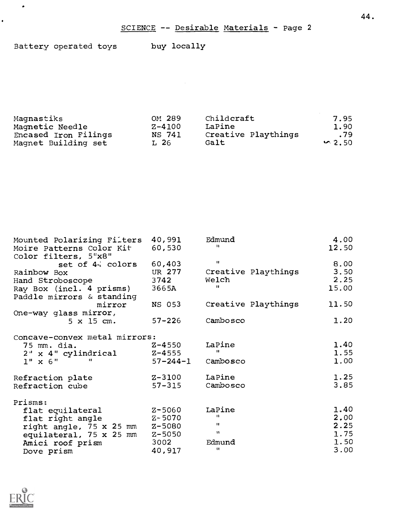Battery operated toys buy locally

 $\bullet$ 

 $\bullet$ 

| Magnastiks           | OM 289        | Childcraft          | 7.95        |
|----------------------|---------------|---------------------|-------------|
| Magnetic Needle      | $Z - 4100$    | LaPine              | 1.90        |
| Encased Iron Filings | <b>NS 741</b> | Creative Playthings | .79         |
| Magnet Building set  | $L$ 26        | Galt                | $\sim 2.50$ |

| Mounted Polarizing Filters              | 40,991         | Edmund              | 4.00  |  |
|-----------------------------------------|----------------|---------------------|-------|--|
| Moire Patterns Color Kit                | 60,530         | $\mathbf{H}$        | 12.50 |  |
| Color filters, 5"x8"                    |                |                     |       |  |
| set of 4. colors                        | 60,403         | $\mathbf{H}$        | 8.00  |  |
| Rainbow Box                             | UR 277         | Creative Playthings | 3.50  |  |
| Hand Stroboscope                        | 3742           | Welch               | 2.25  |  |
| Ray Box (incl. 4 prisms)                | 3665A          | $\mathbf{H}$        | 15.00 |  |
| Paddle mirrors & standing               |                |                     |       |  |
| mirror                                  | <b>NS 053</b>  | Creative Playthings | 11.50 |  |
| One-way glass mirror,                   |                |                     |       |  |
| $5 \times 15$ cm.                       | $57 - 226$     | Cambosco            | 1.20  |  |
|                                         |                |                     |       |  |
| Concave-convex metal mirrors:           |                |                     |       |  |
| 75 mm. dia.                             | Z-4550         | LaPine              | 1.40  |  |
| $2$ " $\times$ 4" cylindrical           | $Z - 4555$     | $\mathbf{H}$        | 1.55  |  |
| $1" \times 6"$<br>$\mathbf{H}$          | $57 - 244 - 1$ | Cambosco            | 1.00  |  |
|                                         |                |                     |       |  |
| Refraction plate                        | z-3100         | LaPine              | 1.25  |  |
| Refraction cube                         | $57 - 315$     | Cambosco            | 3.85  |  |
|                                         |                |                     |       |  |
| Prisms:                                 |                |                     |       |  |
| flat equilateral                        | z-5060         | LaPine              | 1.40  |  |
| flat right angle                        | $Z - 5070$     | $\mathbf{u}$        | 2,00  |  |
| right angle, $75 \times 25$ mm $Z-5080$ |                | $\mathbf{H}$        | 2.25  |  |
| equilateral, $75 \times 25$ mm $Z-5050$ |                | $\mathbf{H}$        | 1.75  |  |
| Amici roof prism                        | 3002           | Edmund              | 1.50  |  |
| Dove prism                              | 40,917         | $\mathbf{u}$        | 3.00  |  |
|                                         |                |                     |       |  |

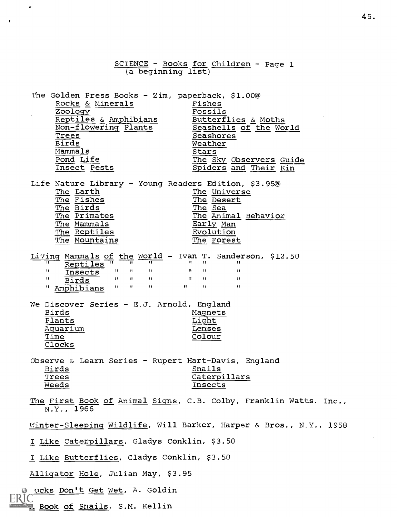$SCIENCE - Books for Children - Page 1$ (a beginning list) The G**olden Press** Books - Zim, paperback, \$1.00@ Rocks & Minerals Fishes Zoology Fossils Reptiles & Amphibians Butterflies & Moths Non-flowering Plants Seashells of the World **Trees** Seashores Birds Weather Mammals **Stars** Pond Life The Sky Observers Guide Insect Pests Spiders and Their Kin Life Nature Library - Young Readers Edition, \$3.95@ The Earth The Universe The Fishes The Desert The Birds The Sea The Animal Behavior The Primates The Mammals Early Man The Reptiles Evolution The Mountains The Forest Living Mammals of the World - Ivan T. Sanderson, \$12.50  $\frac{m}{n}$  Reptiles " " "  $\mathbf{H}$  $\mathbf{H}$  $\overline{11}$  $\frac{m}{n}$  insects  $\frac{m}{n}$   $\frac{m}{n}$  $\mathbf{u}$  $\mathbf{u}$  $\mathbf{u}$  $\mathbf{u}$  $\frac{\text{Birds}}{\text{mminimimes}}$  " Amphibians  $\mathbf{u}$  $\mathbf{H}$  $\mathbf{u}$  $\mathbf{u}$ We Discover Series - E.J. Arnold, England Birds Magnets Plants <u>Light</u> Aquarium Lenses Time Colour Clocks Observe & Learn Series - Rupert Hart-Davis, England Birds Snails Caterpillars Trees Weeds Insects The First Book of Animal Signs, C.B. Colby, Franklin Watts. Inc., N.Y., 1966 Winter-Sleeping Wildlife, Will Barker, Harper & Bros., N.Y., 1958 I Like Caterpillars, Gladys Conklin, \$3.50 I Like Butterflies, Gladys Conklin, \$3.50 Alligator Hole, Julian May, \$3.95

O ucks Don't Get Wet, A. Goldin ERIC

 $\bullet$ 

**A Book of Snails, S.M. Kellin**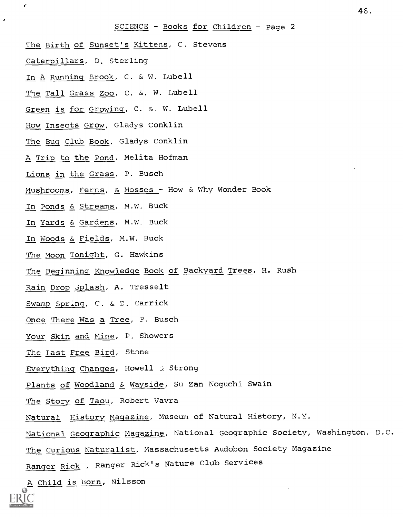#### SCIENCE - Books for Children - Page 2

The Birth of Sunset's Kittens, C. Stevens Caterpillars, D. Sterling In A Running Brook, C. & W. Lubell The Tall Grass Zoo, C. &. W. Lubell Green is for Growing, C. &.. W. Lubell How Insects Grow, Gladys Conklin The Bug Club Book, Gladys Conklin A Trip to the Pond, Melita Hofman Lions in the Grass, P. Busch Mushrooms, Ferns, & Mosses - How & Why Wonder Book In Ponds & Streams, M.W. Buck In Yards & Gardens, M.W. Buck In Woods & Fields, M.W. Buck The Moon Tonight, G. Hawkins The Beginning Knowledge Book of Backyard Trees, H. Rush Rain Drop Splash, A. Tresselt Swamp Spring, C. & D. Carrick Once There Was a Tree, P. Busch Your Skin and Mine, P. Showers The Last Free Bird, Stone Everything Changes, Howell < Strong Plants of Woodland & Wayside, Su Zan Noguchi Swain The Story of Taou, Robert Vavra Natural History Magazine, Museum of Natural History, N.Y. National Geographic Magazine, National Geographic Society, Washington, D.C. The Curious Naturalist, Massachusetts Audobon Society Magazine Ranger Rick , Ranger Rick's Nature Club Services A Child is Born, Nilsson